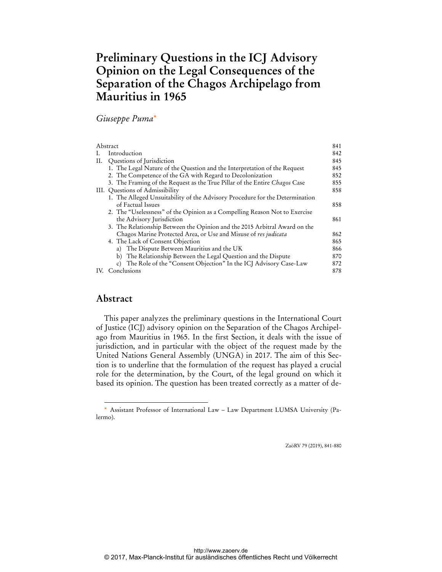# **Preliminary Questions in the ICJ Advisory Opinion on the Legal Consequences of the Separation of the Chagos Archipelago from Mauritius in 1965**

### *Giuseppe Puma*\*

|     | Abstract                                                                         | 841 |
|-----|----------------------------------------------------------------------------------|-----|
| I.  | Introduction                                                                     | 842 |
| Н.  | Questions of Jurisdiction                                                        | 845 |
|     | 1. The Legal Nature of the Question and the Interpretation of the Request        | 845 |
|     | 2. The Competence of the GA with Regard to Decolonization                        | 852 |
|     | 3. The Framing of the Request as the True Pillar of the Entire Chagos Case       | 855 |
|     | III. Questions of Admissibility                                                  | 858 |
|     | 1. The Alleged Unsuitability of the Advisory Procedure for the Determination     |     |
|     | of Factual Issues                                                                | 858 |
|     | 2. The "Uselessness" of the Opinion as a Compelling Reason Not to Exercise       |     |
|     | the Advisory Jurisdiction                                                        | 861 |
|     | 3. The Relationship Between the Opinion and the 2015 Arbitral Award on the       |     |
|     | Chagos Marine Protected Area, or Use and Misuse of res judicata                  | 862 |
|     | 4. The Lack of Consent Objection                                                 | 865 |
|     | a) The Dispute Between Mauritius and the UK                                      | 866 |
|     | The Relationship Between the Legal Question and the Dispute<br>b)                | 870 |
|     | The Role of the "Consent Objection" In the ICJ Advisory Case-Law<br>$\mathbf{c}$ | 872 |
| IV. | Conclusions                                                                      | 878 |
|     |                                                                                  |     |

### **Abstract**

 $\ddot{ }$ 

This paper analyzes the preliminary questions in the International Court of Justice (ICJ) advisory opinion on the Separation of the Chagos Archipelago from Mauritius in 1965. In the first Section, it deals with the issue of jurisdiction, and in particular with the object of the request made by the United Nations General Assembly (UNGA) in 2017. The aim of this Section is to underline that the formulation of the request has played a crucial role for the determination, by the Court, of the legal ground on which it based its opinion. The question has been treated correctly as a matter of de-

ZaöRV 79 (2019), 841-880

<sup>\*</sup> Assistant Professor of International Law – Law Department LUMSA University (Palermo).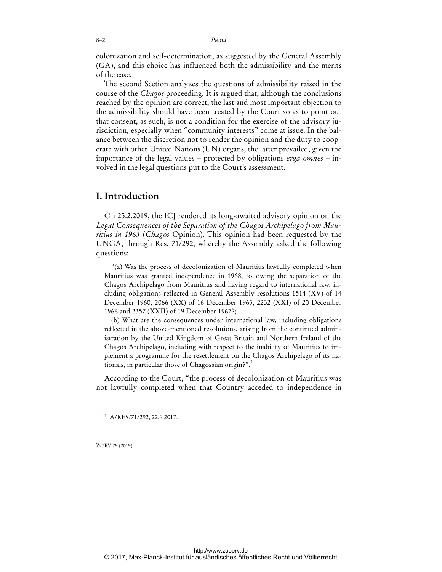colonization and self-determination, as suggested by the General Assembly (GA), and this choice has influenced both the admissibility and the merits of the case.

The second Section analyzes the questions of admissibility raised in the course of the *Chagos* proceeding. It is argued that, although the conclusions reached by the opinion are correct, the last and most important objection to the admissibility should have been treated by the Court so as to point out that consent, as such, is not a condition for the exercise of the advisory jurisdiction, especially when "community interests" come at issue. In the balance between the discretion not to render the opinion and the duty to cooperate with other United Nations (UN) organs, the latter prevailed, given the importance of the legal values – protected by obligations *erga omnes* – involved in the legal questions put to the Court's assessment.

## **I. Introduction**

On 25.2.2019, the ICJ rendered its long-awaited advisory opinion on the *Legal Consequences of the Separation of the Chagos Archipelago from Mauritius in 1965* (*Chagos* Opinion). This opinion had been requested by the UNGA, through Res. 71/292, whereby the Assembly asked the following questions:

"(a) Was the process of decolonization of Mauritius lawfully completed when Mauritius was granted independence in 1968, following the separation of the Chagos Archipelago from Mauritius and having regard to international law, including obligations reflected in General Assembly resolutions 1514 (XV) of 14 December 1960, 2066 (XX) of 16 December 1965, 2232 (XXI) of 20 December 1966 and 2357 (XXII) of 19 December 1967?;

(b) What are the consequences under international law, including obligations reflected in the above-mentioned resolutions, arising from the continued administration by the United Kingdom of Great Britain and Northern Ireland of the Chagos Archipelago, including with respect to the inability of Mauritius to implement a programme for the resettlement on the Chagos Archipelago of its nationals, in particular those of Chagossian origin?".<sup>1</sup>

According to the Court, "the process of decolonization of Mauritius was not lawfully completed when that Country acceded to independence in

ZaöRV 79 (2019)

<sup>1</sup> A/RES/71/292, 22.6.2017.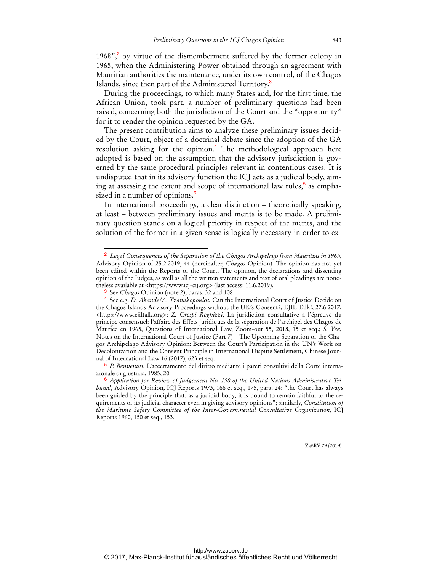1968", $\frac{2}{3}$  by virtue of the dismemberment suffered by the former colony in 1965, when the Administering Power obtained through an agreement with Mauritian authorities the maintenance, under its own control, of the Chagos Islands, since then part of the Administered Territory.<sup>3</sup>

During the proceedings, to which many States and, for the first time, the African Union, took part, a number of preliminary questions had been raised, concerning both the jurisdiction of the Court and the "opportunity" for it to render the opinion requested by the GA.

The present contribution aims to analyze these preliminary issues decided by the Court, object of a doctrinal debate since the adoption of the GA resolution asking for the opinion.<sup>4</sup> The methodological approach here adopted is based on the assumption that the advisory jurisdiction is governed by the same procedural principles relevant in contentious cases. It is undisputed that in its advisory function the ICJ acts as a judicial body, aiming at assessing the extent and scope of international law rules,<sup>5</sup> as emphasized in a number of opinions.<sup>6</sup>

In international proceedings, a clear distinction – theoretically speaking, at least – between preliminary issues and merits is to be made. A preliminary question stands on a logical priority in respect of the merits, and the solution of the former in a given sense is logically necessary in order to ex-

 $\overline{a}$ 

<sup>2</sup> *Legal Consequences of the Separation of the Chagos Archipelago from Mauritius in 1965*, Advisory Opinion of 25.2.2019, 44 (hereinafter, *Chagos* Opinion). The opinion has not yet been edited within the Reports of the Court. The opinion, the declarations and dissenting opinion of the Judges, as well as all the written statements and text of oral pleadings are nonetheless available at <https://www.icj-cij.org> (last access: 11.6.2019).

<sup>3</sup> See *Chagos* Opinion (note 2), paras. 32 and 108.

<sup>4</sup> See e.g. *D. Akande*/*A. Tzanakopoulos*, Can the International Court of Justice Decide on the Chagos Islands Advisory Proceedings without the UK's Consent?, EJIL Talk!, 27.6.2017, <https://www.ejiltalk.org>; *Z. Crespi Reghizzi*, La juridiction consultative à l'épreuve du principe consensuel: l'affaire des Effets juridiques de la séparation de l'archipel des Chagos de Maurice en 1965, Questions of International Law, Zoom-out 55, 2018, 15 et seq.; *S. Yee*, Notes on the International Court of Justice (Part 7) – The Upcoming Separation of the Chagos Archipelago Advisory Opinion: Between the Court's Participation in the UN's Work on Decolonization and the Consent Principle in International Dispute Settlement, Chinese Journal of International Law 16 (2017), 623 et seq.

<sup>5</sup> *P. Benvenuti*, L'accertamento del diritto mediante i pareri consultivi della Corte internazionale di giustizia, 1985, 20.

<sup>6</sup> *Application for Review of Judgement No. 158 of the United Nations Administrative Tribunal*, Advisory Opinion, ICJ Reports 1973, 166 et seq., 175, para. 24: "the Court has always been guided by the principle that, as a judicial body, it is bound to remain faithful to the requirements of its judicial character even in giving advisory opinions"; similarly, *Constitution of the Maritime Safety Committee of the Inter-Governmental Consultative Organization*, ICJ Reports 1960, 150 et seq., 153.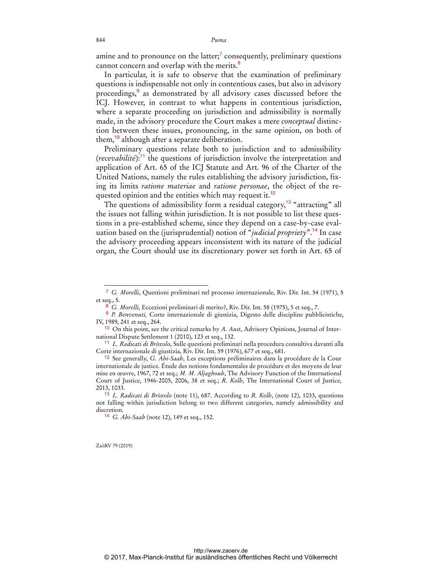amine and to pronounce on the latter;<sup> $7$ </sup> consequently, preliminary questions cannot concern and overlap with the merits.<sup>8</sup>

In particular, it is safe to observe that the examination of preliminary questions is indispensable not only in contentious cases, but also in advisory proceedings,<sup>9</sup> as demonstrated by all advisory cases discussed before the ICJ. However, in contrast to what happens in contentious jurisdiction, where a separate proceeding on jurisdiction and admissibility is normally made, in the advisory procedure the Court makes a mere *conceptual* distinction between these issues, pronouncing, in the same opinion, on both of them,<sup>10</sup> although after a separate deliberation.

Preliminary questions relate both to jurisdiction and to admissibility (*recevabilité*):<sup>11</sup> the questions of jurisdiction involve the interpretation and application of Art. 65 of the ICJ Statute and Art. 96 of the Charter of the United Nations, namely the rules establishing the advisory jurisdiction, fixing its limits *ratione materiae* and *ratione personae*, the object of the requested opinion and the entities which may request it.<sup>12</sup>

The questions of admissibility form a residual category,<sup>13</sup> "attracting" all the issues not falling within jurisdiction. It is not possible to list these questions in a pre-established scheme, since they depend on a case-by-case evaluation based on the (jurisprudential) notion of "*judicial propriety*".<sup>14</sup> In case the advisory proceeding appears inconsistent with its nature of the judicial organ, the Court should use its discretionary power set forth in Art. 65 of

ZaöRV 79 (2019)

<sup>7</sup> *G. Morelli*, Questioni preliminari nel processo internazionale, Riv. Dir. Int. 54 (1971), 5 et seq., 5.

<sup>8</sup> *G. Morelli,* Eccezioni preliminari di merito?, Riv. Dir. Int. 58 (1975), 5 et seq., 7.

<sup>9</sup> *P. Benvenuti,* Corte internazionale di giustizia, Digesto delle discipline pubblicistiche, IV, 1989, 241 et seq., 264.

<sup>10</sup> On this point, see the critical remarks by *A. Aust*, Advisory Opinions, Journal of International Dispute Settlement 1 (2010), 123 et seq., 132.

<sup>11</sup> *L. Radicati di Bròzolo*, Sulle questioni preliminari nella procedura consultiva davanti alla Corte internazionale di giustizia, Riv. Dir. Int. 59 (1976), 677 et seq., 681.

<sup>12</sup> See generally, *G. Abi-Saab*, Les exceptions préliminaires dans la procédure de la Cour internationale de justice. Étude des notions fondamentales de procédure et des moyens de leur mise en œuvre, 1967, 72 et seq.; *M. M. Aljaghoub*, The Advisory Function of the International Court of Justice, 1946-2005, 2006, 38 et seq.; *R. Kolb*, The International Court of Justice, 2013, 1033.

<sup>13</sup> *L. Radicati di Bròzolo* (note 11), 687. According to *R. Kolb*, (note 12), 1033, questions not falling within jurisdiction belong to two different categories, namely admissibility and discretion.

<sup>14</sup> *G. Abi-Saab* (note 12), 149 et seq., 152.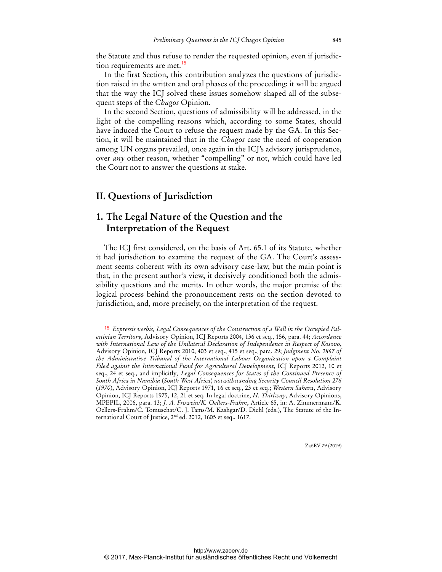the Statute and thus refuse to render the requested opinion, even if jurisdiction requirements are met.<sup>15</sup>

In the first Section, this contribution analyzes the questions of jurisdiction raised in the written and oral phases of the proceeding: it will be argued that the way the ICJ solved these issues somehow shaped all of the subsequent steps of the *Chagos* Opinion.

In the second Section, questions of admissibility will be addressed, in the light of the compelling reasons which, according to some States, should have induced the Court to refuse the request made by the GA. In this Section, it will be maintained that in the *Chagos* case the need of cooperation among UN organs prevailed, once again in the ICJ's advisory jurisprudence, over *any* other reason, whether "compelling" or not, which could have led the Court not to answer the questions at stake.

## **II. Questions of Jurisdiction**

 $\overline{a}$ 

## **1. The Legal Nature of the Question and the Interpretation of the Request**

The ICJ first considered, on the basis of Art. 65.1 of its Statute, whether it had jurisdiction to examine the request of the GA. The Court's assessment seems coherent with its own advisory case-law, but the main point is that, in the present author's view, it decisively conditioned both the admissibility questions and the merits. In other words, the major premise of the logical process behind the pronouncement rests on the section devoted to jurisdiction, and, more precisely, on the interpretation of the request.

<sup>15</sup> *Expressis verbis, Legal Consequences of the Construction of a Wall in the Occupied Palestinian Territory*, Advisory Opinion, ICJ Reports 2004, 136 et seq., 156, para. 44; *Accordance with International Law of the Unilateral Declaration of Independence in Respect of Kosovo*, Advisory Opinion, ICJ Reports 2010, 403 et seq., 415 et seq., para. 29; *Judgment No. 2867 of the Administrative Tribunal of the International Labour Organization upon a Complaint Filed against the International Fund for Agricultural Development*, ICJ Reports 2012, 10 et seq., 24 et seq., and implicitly*, Legal Consequences for States of the Continued Presence of South Africa in Namibia* (*South West Africa*) *notwithstanding Security Council Resolution 276*  (*1970*), Advisory Opinion, ICJ Reports 1971, 16 et seq., 23 et seq.; *Western Sahara*, Advisory Opinion, ICJ Reports 1975, 12, 21 et seq. In legal doctrine, *H. Thirlway*, Advisory Opinions, MPEPIL, 2006, para. 13; *J. A. Frowein/K. Oellers-Frahm*, Article 65, in: A. Zimmermann/K. Oellers-Frahm/C. Tomuschat/C. J. Tams/M. Kashgar/D. Diehl (eds.), The Statute of the International Court of Justice, 2nd ed. 2012, 1605 et seq., 1617.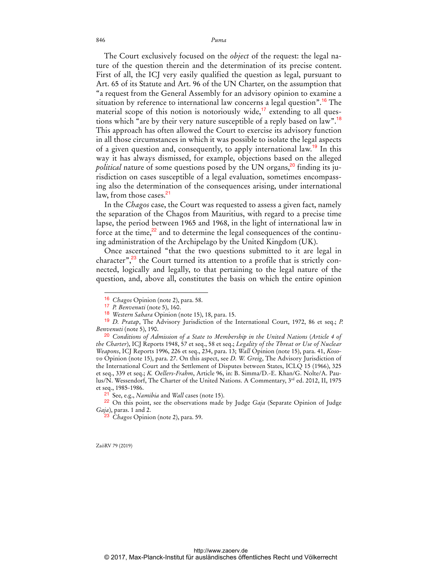The Court exclusively focused on the *object* of the request: the legal nature of the question therein and the determination of its precise content. First of all, the ICJ very easily qualified the question as legal, pursuant to Art. 65 of its Statute and Art. 96 of the UN Charter, on the assumption that "a request from the General Assembly for an advisory opinion to examine a situation by reference to international law concerns a legal question".<sup>16</sup> The material scope of this notion is notoriously wide, $^{17}$  extending to all questions which "are by their very nature susceptible of a reply based on law".<sup>18</sup> This approach has often allowed the Court to exercise its advisory function in all those circumstances in which it was possible to isolate the legal aspects of a given question and, consequently, to apply international law.<sup>19</sup> In this way it has always dismissed, for example, objections based on the alleged *political* nature of some questions posed by the UN organs,<sup>20</sup> finding its jurisdiction on cases susceptible of a legal evaluation, sometimes encompassing also the determination of the consequences arising, under international law, from those cases.<sup>21</sup>

In the *Chagos* case, the Court was requested to assess a given fact, namely the separation of the Chagos from Mauritius, with regard to a precise time lapse, the period between 1965 and 1968, in the light of international law in force at the time, $2^2$  and to determine the legal consequences of the continuing administration of the Archipelago by the United Kingdom (UK).

Once ascertained "that the two questions submitted to it are legal in character", $^{23}$  the Court turned its attention to a profile that is strictly connected, logically and legally, to that pertaining to the legal nature of the question, and, above all, constitutes the basis on which the entire opinion

ZaöRV 79 (2019)

<sup>16</sup> *Chagos* Opinion (note 2), para. 58.

<sup>17</sup> *P. Benvenuti* (note 5), 160.

<sup>18</sup> *Western Sahara* Opinion (note 15), 18, para. 15.

<sup>19</sup> *D. Pratap*, The Advisory Jurisdiction of the International Court, 1972, 86 et seq.; *P. Benvenuti* (note 5), 190.

<sup>&</sup>lt;sup>20</sup> Conditions of Admission of a State to Membership in the United Nations (Article 4 of *the Charter*), ICJ Reports 1948, 57 et seq., 58 et seq.; *Legality of the Threat or Use of Nuclear Weapons*, ICJ Reports 1996, 226 et seq., 234, para. 13; *Wall* Opinion (note 15), para. 41, *Kosovo* Opinion (note 15), para. 27. On this aspect, see *D. W. Greig*, The Advisory Jurisdiction of the International Court and the Settlement of Disputes between States, ICLQ 15 (1966), 325 et seq., 339 et seq.; *K. Oellers-Frahm*, Article 96, in: B. Simma/D.-E. Khan/G. Nolte/A. Paulus/N. Wessendorf, The Charter of the United Nations. A Commentary, 3rd ed. 2012, II, 1975 et seq., 1985-1986.

<sup>21</sup> See, e.g., *Namibia* and *Wall* cases (note 15).

<sup>22</sup> On this point, see the observations made by Judge *Gaja* (Separate Opinion of Judge *Gaja*), paras. 1 and 2.

<sup>&</sup>lt;sup>3</sup> *Chagos* Opinion (note 2), para. 59.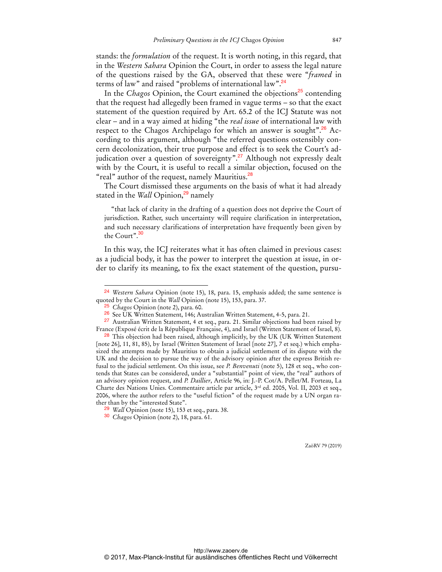stands: the *formulation* of the request. It is worth noting, in this regard, that in the *Western Sahara* Opinion the Court, in order to assess the legal nature of the questions raised by the GA, observed that these were "*framed* in terms of law" and raised "problems of international law".<sup>24</sup>

In the *Chagos* Opinion, the Court examined the objections<sup>25</sup> contending that the request had allegedly been framed in vague terms – so that the exact statement of the question required by Art. 65.2 of the ICJ Statute was not clear – and in a way aimed at hiding "the *real issue* of international law with respect to the Chagos Archipelago for which an answer is sought".<sup>26</sup> According to this argument, although "the referred questions ostensibly concern decolonization, their true purpose and effect is to seek the Court's adjudication over a question of sovereignty".<sup>27</sup> Although not expressly dealt with by the Court, it is useful to recall a similar objection, focused on the "real" author of the request, namely Mauritius.<sup>28</sup>

The Court dismissed these arguments on the basis of what it had already stated in the *Wall* Opinion,<sup>29</sup> namely

"that lack of clarity in the drafting of a question does not deprive the Court of jurisdiction. Rather, such uncertainty will require clarification in interpretation, and such necessary clarifications of interpretation have frequently been given by the Court".<sup>30</sup>

In this way, the ICJ reiterates what it has often claimed in previous cases: as a judicial body, it has the power to interpret the question at issue, in order to clarify its meaning, to fix the exact statement of the question, pursu-

 $\overline{a}$ 

<sup>24</sup> *Western Sahara* Opinion (note 15), 18, para. 15, emphasis added; the same sentence is quoted by the Court in the *Wall* Opinion (note 15), 153, para. 37.

<sup>25</sup> *Chagos* Opinion (note 2), para. 60.

<sup>26</sup> See UK Written Statement, 146; Australian Written Statement, 4-5, para. 21.

<sup>27</sup> Australian Written Statement, 4 et seq., para. 21. Similar objections had been raised by France (Exposé écrit de la République Française, 4), and Israel (Written Statement of Israel, 8).

<sup>&</sup>lt;sup>28</sup> This objection had been raised, although implicitly, by the UK (UK Written Statement [note 26], 11, 81, 85), by Israel (Written Statement of Israel [note 27], 7 et seq.) which emphasized the attempts made by Mauritius to obtain a judicial settlement of its dispute with the UK and the decision to pursue the way of the advisory opinion after the express British refusal to the judicial settlement. On this issue, see *P. Benvenuti* (note 5), 128 et seq., who contends that States can be considered, under a "substantial" point of view, the "real" authors of an advisory opinion request, and *P. Daillier*, Article 96, in: J.-P. Cot/A. Pellet/M. Forteau, La Charte des Nations Unies. Commentaire article par article, 3rd ed. 2005, Vol. II, 2003 et seq., 2006, where the author refers to the "useful fiction" of the request made by a UN organ rather than by the "interested State".

<sup>29</sup> *Wall* Opinion (note 15), 153 et seq., para. 38.

<sup>30</sup> *Chagos* Opinion (note 2), 18, para. 61.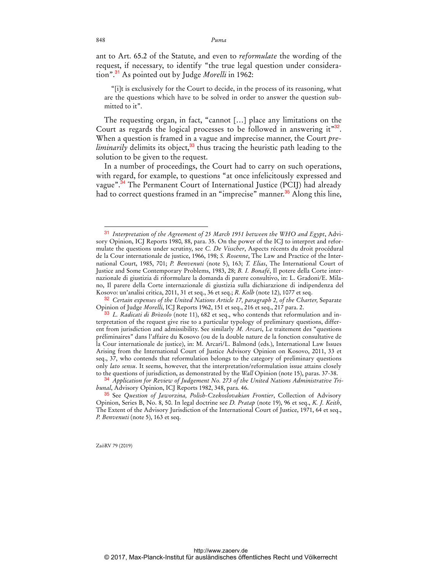ant to Art. 65.2 of the Statute, and even to *reformulate* the wording of the request, if necessary, to identify "the true legal question under consideration".<sup>31</sup> As pointed out by Judge *Morelli* in 1962:

"[i]t is exclusively for the Court to decide, in the process of its reasoning, what are the questions which have to be solved in order to answer the question submitted to it".

The requesting organ, in fact, "cannot […] place any limitations on the Court as regards the logical processes to be followed in answering it<sup>"32</sup>. When a question is framed in a vague and imprecise manner, the Court *preliminarily* delimits its object,<sup>33</sup> thus tracing the heuristic path leading to the solution to be given to the request.

In a number of proceedings, the Court had to carry on such operations, with regard, for example, to questions "at once infelicitously expressed and vague".<sup>34</sup> The Permanent Court of International Justice (PCIJ) had already had to correct questions framed in an "imprecise" manner.<sup>35</sup> Along this line,

ZaöRV 79 (2019)

<sup>31</sup> *Interpretation of the Agreement of 25 March 1951 between the WHO and Egypt*, Advisory Opinion, ICJ Reports 1980, 88, para. 35. On the power of the ICJ to interpret and reformulate the questions under scrutiny, see *C. De Visscher*, Aspects récents du droit procédural de la Cour internationale de justice, 1966, 198; *S. Rosenne*, The Law and Practice of the International Court, 1985, 701; *P. Benvenuti* (note 5), 163; *T. Elias*, The International Court of Justice and Some Contemporary Problems, 1983, 28; *B. I. Bonafé*, Il potere della Corte internazionale di giustizia di riformulare la domanda di parere consultivo, in: L. Gradoni/E. Milano, Il parere della Corte internazionale di giustizia sulla dichiarazione di indipendenza del Kosovo: un'analisi critica, 2011, 31 et seq., 36 et seq.; *R. Kolb* (note 12), 1077 et seq.

<sup>&</sup>lt;sup>32</sup> Certain expenses of the United Nations Article 17, paragraph 2, of the Charter, Separate Opinion of Judge *Morelli*, ICJ Reports 1962, 151 et seq., 216 et seq., 217 para. 2.

<sup>33</sup> *L. Radicati di Bròzolo* (note 11), 682 et seq., who contends that reformulation and interpretation of the request give rise to a particular typology of preliminary questions, different from jurisdiction and admissibility. See similarly *M. Arcari*, Le traitement des "questions préliminaires" dans l'affaire du Kosovo (ou de la double nature de la fonction consultative de la Cour internationale de justice), in: M. Arcari/L. Balmond (eds.), International Law Issues Arising from the International Court of Justice Advisory Opinion on Kosovo, 2011, 33 et seq., 37, who contends that reformulation belongs to the category of preliminary questions only *lato sensu*. It seems, however, that the interpretation/reformulation issue attains closely to the questions of jurisdiction, as demonstrated by the *Wall* Opinion (note 15), paras. 37-38.

<sup>34</sup> *Application for Review of Judgement No. 273 of the United Nations Administrative Tribunal*, Advisory Opinion, ICJ Reports 1982, 348, para. 46.

<sup>35</sup> See *Question of Jaworzina, Polish-Czekoslovakian Frontier*, Collection of Advisory Opinion, Series B, No. 8, 50. In legal doctrine see *D. Pratap* (note 19), 96 et seq., *K. J. Keith*, The Extent of the Advisory Jurisdiction of the International Court of Justice, 1971, 64 et seq., *P. Benvenuti* (note 5), 163 et seq.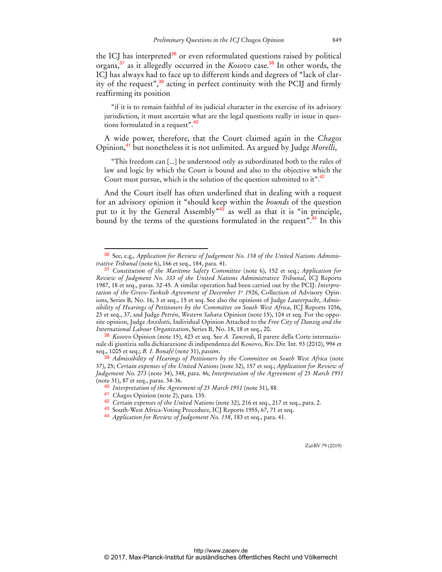the ICJ has interpreted $36$  or even reformulated questions raised by political organs,<sup>37</sup> as it allegedly occurred in the *Kosovo* case.<sup>38</sup> In other words, the ICJ has always had to face up to different kinds and degrees of "lack of clarity of the request",<sup>39</sup> acting in perfect continuity with the PCIJ and firmly reaffirming its position

"if it is to remain faithful of its judicial character in the exercise of its advisory jurisdiction, it must ascertain what are the legal questions really in issue in questions formulated in a request".<sup>40</sup>

A wide power, therefore, that the Court claimed again in the *Chagos* Opinion,<sup>41</sup> but nonetheless it is not unlimited. As argued by Judge *Morelli*,

"This freedom can [...] be understood only as subordinated both to the rules of law and logic by which the Court is bound and also to the objective which the Court must pursue, which is the solution of the question submitted to it".<sup>42</sup>

And the Court itself has often underlined that in dealing with a request for an advisory opinion it "should keep within the *bounds* of the question put to it by the General Assembly<sup>"43</sup> as well as that it is "in principle, bound by the terms of the questions formulated in the request".<sup>44</sup> In this

 $\overline{a}$ 

<sup>36</sup> See, e.g., *Application for Review of Judgement No. 158 of the United Nations Administrative Tribunal* (note 6), 166 et seq., 184, para. 41.

<sup>37</sup> *Constitution of the Maritime Safety Committee* (note 6), 152 et seq.; *Application for Review of Judgment No. 333 of the United Nations Administrative Tribunal*, ICJ Reports 1987, 18 et seq., paras. 32-45. A similar operation had been carried out by the PCIJ: *Interpre*tation of the Greco-Turkish Agreement of December 1st 1926, Collection of Advisory Opinions, Series B, No. 16, 3 et seq., 15 et seq. See also the opinions of Judge *Lauterpacht*, *Admissibility of Hearings of Petitioners by the Committee on South West Africa*, ICJ Reports 1056, 23 et seq., 37, and Judge *Petrén*, *Western Sahara* Opinion (note 15), 104 et seq. For the opposite opinion, Judge *Anzilotti*, Individual Opinion Attached to the *Free City of Danzig and the International Labour Organization*, Series B, No. 18, 18 et seq., 20.

<sup>38</sup> *Kosovo* Opinion (note 15), 423 et seq. See *A. Tancredi*, Il parere della Corte internazionale di giustizia sulla dichiarazione di indipendenza del Kosovo, Riv. Dir. Int. 93 (2010), 994 et seq., 1005 et seq.; *B. I. Bonafé* (note 31), *passim*.

<sup>39</sup> *Admissibility of Hearings of Petitioners by the Committee on South West Africa* (note 37), 25; *Certain expenses of the United Nations* (note 32), 157 et seq.; *Application for Review of Judgement No. 273* (note 34), 348, para. 46; *Interpretation of the Agreement of 25 March 1951* (note 31), 87 et seq., paras. 34-36.

<sup>40</sup> *Interpretation of the Agreement of 25 March 1951* (note 31), 88.

<sup>41</sup> *Chagos* Opinion (note 2), para. 135.

<sup>42</sup> *Certain expenses of the United Nations* (note 32), 216 et seq., 217 et seq., para. 2.

<sup>43</sup> South-West Africa-Voting Procedure, ICJ Reports 1955, 67, 71 et seq.

<sup>44</sup> *Application for Review of Judgement No. 158*, 183 et seq., para. 41.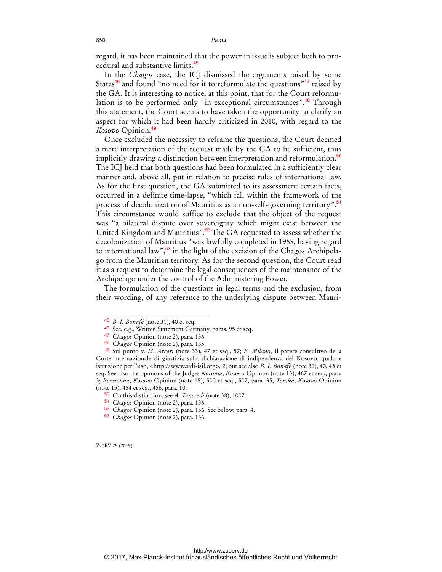regard, it has been maintained that the power in issue is subject both to procedural and substantive limits.<sup>45</sup>

In the *Chagos* case, the ICJ dismissed the arguments raised by some States<sup>46</sup> and found "no need for it to reformulate the questions"<sup>47</sup> raised by the GA. It is interesting to notice, at this point, that for the Court reformulation is to be performed only "in exceptional circumstances".<sup>48</sup> Through this statement, the Court seems to have taken the opportunity to clarify an aspect for which it had been hardly criticized in 2010, with regard to the *Kosovo* Opinion.<sup>49</sup>

Once excluded the necessity to reframe the questions, the Court deemed a mere interpretation of the request made by the GA to be sufficient, thus implicitly drawing a distinction between interpretation and reformulation.<sup>50</sup> The ICJ held that both questions had been formulated in a sufficiently clear manner and, above all, put in relation to precise rules of international law. As for the first question, the GA submitted to its assessment certain facts, occurred in a definite time-lapse, "which fall within the framework of the process of decolonization of Mauritius as a non-self-governing territory".<sup>51</sup> This circumstance would suffice to exclude that the object of the request was "a bilateral dispute over sovereignty which might exist between the United Kingdom and Mauritius".<sup>52</sup> The GA requested to assess whether the decolonization of Mauritius "was lawfully completed in 1968, having regard to international law",  $\frac{53}{3}$  in the light of the excision of the Chagos Archipelago from the Mauritian territory. As for the second question, the Court read it as a request to determine the legal consequences of the maintenance of the Archipelago under the control of the Administering Power.

The formulation of the questions in legal terms and the exclusion, from their wording, of any reference to the underlying dispute between Mauri-

ZaöRV 79 (2019)

<sup>45</sup> *B. I. Bonafé* (note 31), 40 et seq.

<sup>46</sup> See, e.g., Written Statement Germany, paras. 95 et seq.

<sup>47</sup> *Chagos* Opinion (note 2), para. 136.

<sup>48</sup> *Chagos* Opinion (note 2), para. 135.

<sup>49</sup> Sul punto v. *M. Arcari* (note 33), 47 et seq., 57; *E. Milano*, Il parere consultivo della Corte internazionale di giustizia sulla dichiarazione di indipendenza del Kosovo: qualche istruzione per l'uso, <http://www.sidi-isil.org>, 2; but see also *B. I. Bonafé* (note 31), 40, 45 et seq. See also the opinions of the Judges *Koroma*, *Kosovo* Opinion (note 15), 467 et seq., para. 3; *Bennouna*, *Kosovo* Opinion (note 15), 500 et seq., 507, para. 35, *Tomka*, *Kosovo* Opinion (note 15), 454 et seq., 456, para. 10.

<sup>50</sup> On this distinction, see *A. Tancredi* (note 38), 1007.

<sup>51</sup> *Chagos* Opinion (note 2), para. 136.

<sup>52</sup> *Chagos* Opinion (note 2), para. 136. See below, para. 4.

<sup>53</sup> *Chagos* Opinion (note 2), para. 136.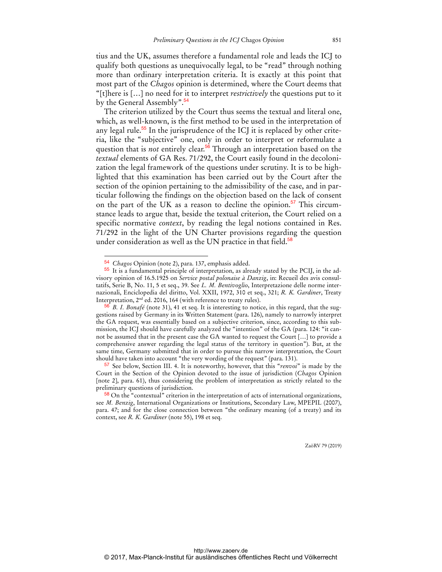tius and the UK, assumes therefore a fundamental role and leads the ICJ to qualify both questions as unequivocally legal, to be "read" through nothing more than ordinary interpretation criteria. It is exactly at this point that most part of the *Chagos* opinion is determined, where the Court deems that "[t]here is […] no need for it to interpret *restrictively* the questions put to it by the General Assembly".<sup>54</sup>

The criterion utilized by the Court thus seems the textual and literal one, which, as well-known, is the first method to be used in the interpretation of any legal rule.<sup>55</sup> In the jurisprudence of the ICJ it is replaced by other criteria, like the "subjective" one, only in order to interpret or reformulate a question that is *not* entirely clear.<sup>56</sup> Through an interpretation based on the *textual* elements of GA Res. 71/292, the Court easily found in the decolonization the legal framework of the questions under scrutiny. It is to be highlighted that this examination has been carried out by the Court after the section of the opinion pertaining to the admissibility of the case, and in particular following the findings on the objection based on the lack of consent on the part of the UK as a reason to decline the opinion.<sup>57</sup> This circumstance leads to argue that, beside the textual criterion, the Court relied on a specific normative *context*, by reading the legal notions contained in Res. 71/292 in the light of the UN Charter provisions regarding the question under consideration as well as the UN practice in that field.<sup>58</sup>

 $\overline{a}$ 

<sup>54</sup> *Chagos* Opinion (note 2), para. 137, emphasis added.

<sup>55</sup> It is a fundamental principle of interpretation, as already stated by the PCIJ, in the advisory opinion of 16.5.1925 on *Service postal polonaise à Danzig*, in: Recueil des avis consultatifs, Serie B, No. 11, 5 et seq., 39. See *L. M. Bentivoglio*, Interpretazione delle norme internazionali, Enciclopedia del diritto, Vol. XXII, 1972, 310 et seq., 321; *R. K. Gardiner*, Treaty Interpretation, 2nd ed. 2016, 164 (with reference to treaty rules).

<sup>56</sup> *B. I. Bonafé* (note 31), 41 et seq. It is interesting to notice, in this regard, that the suggestions raised by Germany in its Written Statement (para. 126), namely to narrowly interpret the GA request, was essentially based on a subjective criterion, since, according to this submission, the ICJ should have carefully analyzed the "intention" of the GA (para. 124: "it cannot be assumed that in the present case the GA wanted to request the Court […] to provide a comprehensive answer regarding the legal status of the territory in question"). But, at the same time, Germany submitted that in order to pursue this narrow interpretation, the Court should have taken into account "the very wording of the request" (para. 131).

<sup>57</sup> See below, Section III. 4. It is noteworthy, however, that this "*renvoi*" is made by the Court in the Section of the Opinion devoted to the issue of jurisdiction (*Chagos* Opinion [note 2], para. 61), thus considering the problem of interpretation as strictly related to the preliminary questions of jurisdiction.

<sup>58</sup> On the "contextual" criterion in the interpretation of acts of international organizations, see *M. Benzig*, International Organizations or Institutions, Secondary Law, MPEPIL (2007), para. 47; and for the close connection between "the ordinary meaning (of a treaty) and its context, see *R. K. Gardiner* (note 55), 198 et seq.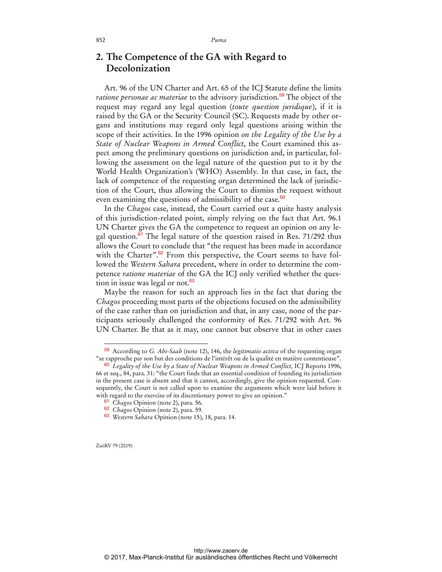## **2. The Competence of the GA with Regard to Decolonization**

Art. 96 of the UN Charter and Art. 65 of the ICJ Statute define the limits *ratione personae ac materiae* to the advisory jurisdiction.<sup>59</sup> The object of the request may regard any legal question (*toute question juridique*), if it is raised by the GA or the Security Council (SC). Requests made by other organs and institutions may regard only legal questions arising within the scope of their activities. In the 1996 opinion *on the Legality of the Use by a State of Nuclear Weapons in Armed Conflict*, the Court examined this aspect among the preliminary questions on jurisdiction and, in particular, following the assessment on the legal nature of the question put to it by the World Health Organization's (WHO) Assembly. In that case, in fact, the lack of competence of the requesting organ determined the lack of jurisdiction of the Court, thus allowing the Court to dismiss the request without even examining the questions of admissibility of the case.<sup>60</sup>

In the *Chagos* case, instead, the Court carried out a quite hasty analysis of this jurisdiction-related point, simply relying on the fact that Art. 96.1 UN Charter gives the GA the competence to request an opinion on any legal question. $61$  The legal nature of the question raised in Res. 71/292 thus allows the Court to conclude that "the request has been made in accordance with the Charter".<sup>62</sup> From this perspective, the Court seems to have followed the *Western Sahara* precedent, where in order to determine the competence *ratione materiae* of the GA the ICJ only verified whether the question in issue was legal or not. $63$ 

Maybe the reason for such an approach lies in the fact that during the *Chagos* proceeding most parts of the objections focused on the admissibility of the case rather than on jurisdiction and that, in any case, none of the participants seriously challenged the conformity of Res. 71/292 with Art. 96 UN Charter. Be that as it may, one cannot but observe that in other cases

ZaöRV 79 (2019)

<sup>59</sup> According to *G. Abi-Saab* (note 12), 146, the *legitimatio activa* of the requesting organ "se rapproche par son but des conditions de l'intérêt ou de la qualité en matière contentieuse".

<sup>60</sup> *Legality of the Use by a State of Nuclear Weapons in Armed Conflict,* ICJ Reports 1996, 66 et seq., 84, para. 31: "the Court finds that an essential condition of founding its jurisdiction in the present case is absent and that it cannot, accordingly, give the opinion requested. Consequently, the Court is not called upon to examine the arguments which were laid before it with regard to the exercise of its discretionary power to give an opinion."

<sup>61</sup> *Chagos* Opinion (note 2), para. 56.

<sup>62</sup> *Chagos* Opinion (note 2), para. 59.

<sup>63</sup> *Western Sahara* Opinion (note 15), 18, para. 14.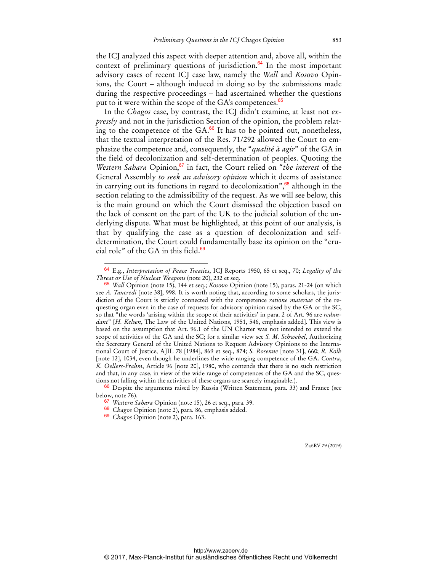the ICJ analyzed this aspect with deeper attention and, above all, within the context of preliminary questions of jurisdiction. $64$  In the most important advisory cases of recent ICJ case law, namely the *Wall* and *Kosovo* Opinions, the Court – although induced in doing so by the submissions made during the respective proceedings – had ascertained whether the questions put to it were within the scope of the GA's competences.<sup>65</sup>

In the *Chagos* case, by contrast, the ICJ didn't examine, at least not *expressly* and not in the jurisdiction Section of the opinion, the problem relating to the competence of the  $GA<sup>66</sup>$  It has to be pointed out, nonetheless, that the textual interpretation of the Res. 71/292 allowed the Court to emphasize the competence and, consequently, the "*qualité à agir*" of the GA in the field of decolonization and self-determination of peoples. Quoting the *Western Sahara* Opinion,<sup>67</sup> in fact, the Court relied on "*the interest* of the General Assembly *to seek an advisory opinion* which it deems of assistance in carrying out its functions in regard to decolonization", $68$  although in the section relating to the admissibility of the request. As we will see below, this is the main ground on which the Court dismissed the objection based on the lack of consent on the part of the UK to the judicial solution of the underlying dispute. What must be highlighted, at this point of our analysis, is that by qualifying the case as a question of decolonization and selfdetermination, the Court could fundamentally base its opinion on the "crucial role" of the GA in this field. $69$ 

 $\overline{a}$ 

<sup>64</sup> E.g., *Interpretation of Peace Treaties*, ICJ Reports 1950, 65 et seq., 70; *Legality of the Threat or Use of Nuclear Weapons* (note 20), 232 et seq.

<sup>65</sup> *Wall* Opinion (note 15), 144 et seq.; *Kosovo* Opinion (note 15), paras. 21-24 (on which see *A. Tancredi* [note 38], 998. It is worth noting that, according to some scholars, the jurisdiction of the Court is strictly connected with the competence *ratione materiae* of the requesting organ even in the case of requests for advisory opinion raised by the GA or the SC, so that "the words 'arising within the scope of their activities' in para. 2 of Art. 96 are *redundant*" [*H. Kelsen*, The Law of the United Nations, 1951, 546, emphasis added]. This view is based on the assumption that Art. 96.1 of the UN Charter was not intended to extend the scope of activities of the GA and the SC; for a similar view see *S. M. Schwebel*, Authorizing the Secretary General of the United Nations to Request Advisory Opinions to the International Court of Justice, AJIL 78 [1984], 869 et seq., 874; *S. Rosenne* [note 31], 660; *R. Kolb*  [note 12], 1034, even though he underlines the wide ranging competence of the GA. *Contra*, *K. Oellers-Frahm*, Article 96 [note 20], 1980, who contends that there is no such restriction and that, in any case, in view of the wide range of competences of the GA and the SC, questions not falling within the activities of these organs are scarcely imaginable.).

<sup>66</sup> Despite the arguments raised by Russia (Written Statement, para. 33) and France (see below, note 76).

<sup>67</sup> *Western Sahara* Opinion (note 15), 26 et seq., para. 39.

<sup>68</sup> *Chagos* Opinion (note 2), para. 86, emphasis added.

<sup>69</sup> *Chagos* Opinion (note 2), para. 163.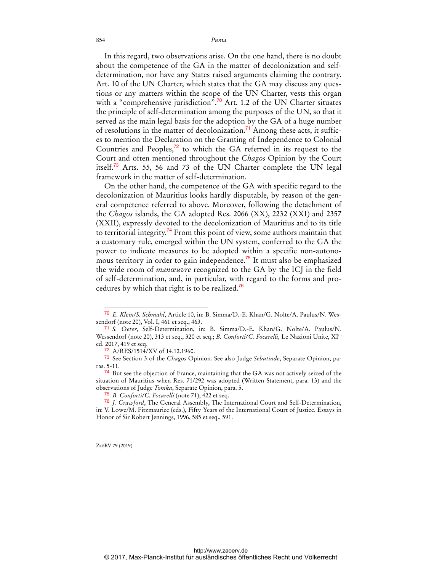In this regard, two observations arise. On the one hand, there is no doubt about the competence of the GA in the matter of decolonization and selfdetermination, nor have any States raised arguments claiming the contrary. Art. 10 of the UN Charter, which states that the GA may discuss any questions or any matters within the scope of the UN Charter, vests this organ with a "comprehensive jurisdiction".<sup>70</sup> Art. 1.2 of the UN Charter situates the principle of self-determination among the purposes of the UN, so that it served as the main legal basis for the adoption by the GA of a huge number of resolutions in the matter of decolonization.<sup>71</sup> Among these acts, it suffices to mention the Declaration on the Granting of Independence to Colonial Countries and Peoples, $^{72}$  to which the GA referred in its request to the Court and often mentioned throughout the *Chagos* Opinion by the Court itself.<sup>73</sup> Arts. 55, 56 and 73 of the UN Charter complete the UN legal framework in the matter of self-determination.

On the other hand, the competence of the GA with specific regard to the decolonization of Mauritius looks hardly disputable, by reason of the general competence referred to above. Moreover, following the detachment of the *Chagos* islands, the GA adopted Res. 2066 (XX), 2232 (XXI) and 2357 (XXII), expressly devoted to the decolonization of Mauritius and to its title to territorial integrity.<sup>74</sup> From this point of view, some authors maintain that a customary rule, emerged within the UN system, conferred to the GA the power to indicate measures to be adopted within a specific non-autonomous territory in order to gain independence.<sup>75</sup> It must also be emphasized the wide room of *manœuvre* recognized to the GA by the ICJ in the field of self-determination, and, in particular, with regard to the forms and procedures by which that right is to be realized.<sup>76</sup>

ZaöRV 79 (2019)

<sup>70</sup> *E. Klein/S. Schmahl*, Article 10, in: B. Simma/D.-E. Khan/G. Nolte/A. Paulus/N. Wessendorf (note 20), Vol. I, 461 et seq., 463.

<sup>71</sup> *S. Oeter*, Self-Determination, in: B. Simma/D.-E. Khan/G. Nolte/A. Paulus/N. Wessendorf (note 20), 313 et seq., 320 et seq.; *B. Conforti/C. Focarelli*, Le Nazioni Unite, XIth ed. 2017, 419 et seq.

<sup>72</sup> A/RES/1514/XV of 14.12.1960.

<sup>73</sup> See Section 3 of the *Chagos* Opinion. See also Judge *Sebutinde*, Separate Opinion, paras. 5-11.

<sup>74</sup> But see the objection of France, maintaining that the GA was not actively seized of the situation of Mauritius when Res. 71/292 was adopted (Written Statement, para. 13) and the observations of Judge *Tomka*, Separate Opinion, para. 5.

<sup>75</sup> *B. Conforti/C. Focarelli* (note 71), 422 et seq.

<sup>76</sup> *J. Crawford*, The General Assembly, The International Court and Self-Determination, in: V. Lowe/M. Fitzmaurice (eds.), Fifty Years of the International Court of Justice. Essays in Honor of Sir Robert Jennings, 1996, 585 et seq., 591.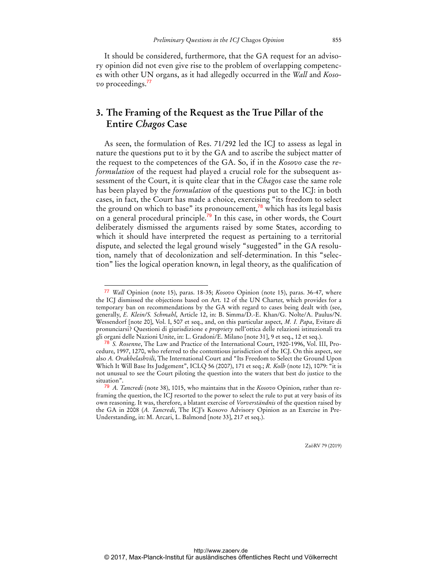It should be considered, furthermore, that the GA request for an advisory opinion did not even give rise to the problem of overlapping competences with other UN organs, as it had allegedly occurred in the *Wall* and *Kosovo* proceedings.<sup>77</sup>

## **3. The Framing of the Request as the True Pillar of the Entire** *Chagos* **Case**

As seen, the formulation of Res. 71/292 led the ICJ to assess as legal in nature the questions put to it by the GA and to ascribe the subject matter of the request to the competences of the GA. So, if in the *Kosovo* case the *reformulation* of the request had played a crucial role for the subsequent assessment of the Court, it is quite clear that in the *Chagos* case the same role has been played by the *formulation* of the questions put to the ICJ: in both cases, in fact, the Court has made a choice, exercising "its freedom to select the ground on which to base" its pronouncement, $^{78}$  which has its legal basis on a general procedural principle.<sup>79</sup> In this case, in other words, the Court deliberately dismissed the arguments raised by some States, according to which it should have interpreted the request as pertaining to a territorial dispute, and selected the legal ground wisely "suggested" in the GA resolution, namely that of decolonization and self-determination. In this "selection" lies the logical operation known, in legal theory, as the qualification of

 $\overline{a}$ 

<sup>77</sup> *Wall* Opinion (note 15), paras. 18-35; *Kosovo* Opinion (note 15), paras. 36-47, where the ICJ dismissed the objections based on Art. 12 of the UN Charter, which provides for a temporary ban on recommendations by the GA with regard to cases being dealt with (see, generally, *E. Klein/S. Schmahl*, Article 12, in: B. Simma/D.-E. Khan/G. Nolte/A. Paulus/N. Wessendorf [note 20], Vol. I, 507 et seq., and, on this particular aspect, *M. I. Papa*, Evitare di pronunciarsi? Questioni di giurisdizione e *propriety* nell'ottica delle relazioni istituzionali tra gli organi delle Nazioni Unite, in: L. Gradoni/E. Milano [note 31], 9 et seq., 12 et seq.).

<sup>78</sup> *S. Rosenne*, The Law and Practice of the International Court, 1920-1996, Vol. III, Procedure, 1997, 1270, who referred to the contentious jurisdiction of the ICJ. On this aspect, see also *A. Orakhelashvili*, The International Court and "Its Freedom to Select the Ground Upon Which It Will Base Its Judgement", ICLQ 56 (2007), 171 et seq.; *R. Kolb* (note 12), 1079: "it is not unusual to see the Court piloting the question into the waters that best do justice to the situation".

<sup>79</sup> *A. Tancredi* (note 38), 1015, who maintains that in the *Kosovo* Opinion, rather than reframing the question, the ICJ resorted to the power to select the rule to put at very basis of its own reasoning. It was, therefore, a blatant exercise of *Vorverständnis* of the question raised by the GA in 2008 (*A. Tancredi*, The ICJ's Kosovo Advisory Opinion as an Exercise in Pre-Understanding, in: M. Arcari, L. Balmond [note 33], 217 et seq.).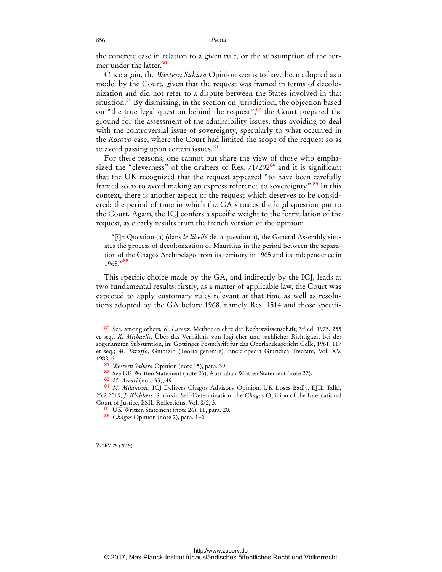the concrete case in relation to a given rule, or the subsumption of the former under the latter.<sup>80</sup>

Once again, the *Western Sahara* Opinion seems to have been adopted as a model by the Court, given that the request was framed in terms of decolonization and did not refer to a dispute between the States involved in that situation.<sup>81</sup> By dismissing, in the section on jurisdiction, the objection based on "the true legal question behind the request", $82$  the Court prepared the ground for the assessment of the admissibility issues, thus avoiding to deal with the controversial issue of sovereignty, specularly to what occurred in the *Kosovo* case, where the Court had limited the scope of the request so as to avoid passing upon certain issues.<sup>83</sup>

For these reasons, one cannot but share the view of those who emphasized the "cleverness" of the drafters of Res.  $71/292^{84}$  and it is significant that the UK recognized that the request appeared "to have been carefully framed so as to avoid making an express reference to sovereignty".<sup>85</sup> In this context, there is another aspect of the request which deserves to be considered: the period of time in which the GA situates the legal question put to the Court. Again, the ICJ confers a specific weight to the formulation of the request, as clearly results from the french version of the opinion:

"[i]n Question (a) (dans *le libellé* de la question a), the General Assembly situates the process of decolonization of Mauritius in the period between the separation of the Chagos Archipelago from its territory in 1965 and its independence in  $1968.^{\,986}$ 

This specific choice made by the GA, and indirectly by the ICJ, leads at two fundamental results: firstly, as a matter of applicable law, the Court was expected to apply customary rules relevant at that time as well as resolutions adopted by the GA before 1968, namely Res. 1514 and those specifi-

ZaöRV 79 (2019)

<sup>80</sup> See, among others, *K. Larenz*, Methodenlehre der Rechtswissenschaft, 3rd ed. 1975, 255 et seq., *K. Michaelis*, Über das Verhältnis von logischer und sachlicher Richtigkeit bei der sogenannten Subsumtion, in: Göttinger Festschrift für das Oberlandesgericht Celle, 1961, 117 et seq.; *M. Taruffo*, Giudizio (Teoria generale), Enciclopedia Giuridica Treccani, Vol. XV, 1988, 6.

<sup>81</sup> *Western Sahara* Opinion (note 15), para. 39.

<sup>82</sup> See UK Written Statement (note 26); Australian Written Statement (note 27).

<sup>83</sup> *M. Arcari* (note 33), 49.

<sup>84</sup> *M. Milanovic*, ICJ Delivers Chagos Advisory Opinion. UK Loses Badly, EJIL Talk!, 25.2.2019; *J. Klabbers*, Shrinkin Self-Determination: the *Chagos* Opinion of the International Court of Justice, ESIL Reflections, Vol. 8/2, 3.

<sup>85</sup> UK Written Statement (note 26), 11, para. 20.

<sup>86</sup> *Chagos* Opinion (note 2), para. 140.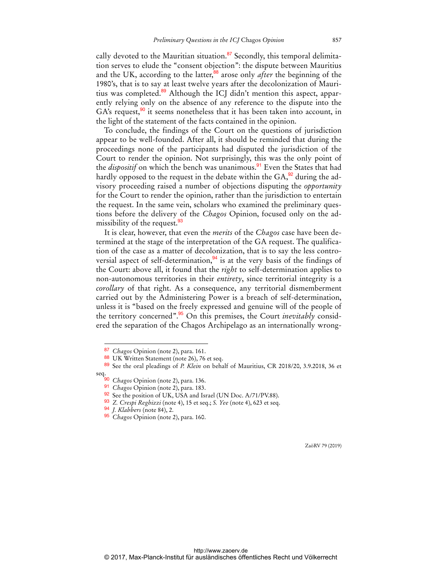cally devoted to the Mauritian situation.<sup>87</sup> Secondly, this temporal delimitation serves to elude the "consent objection": the dispute between Mauritius and the UK, according to the latter,<sup>88</sup> arose only *after* the beginning of the 1980's, that is to say at least twelve years after the decolonization of Mauritius was completed.<sup>89</sup> Although the ICJ didn't mention this aspect, apparently relying only on the absence of any reference to the dispute into the GA's request,<sup>90</sup> it seems nonetheless that it has been taken into account, in the light of the statement of the facts contained in the opinion.

To conclude, the findings of the Court on the questions of jurisdiction appear to be well-founded. After all, it should be reminded that during the proceedings none of the participants had disputed the jurisdiction of the Court to render the opinion. Not surprisingly, this was the only point of the *dispositif* on which the bench was unanimous.<sup>91</sup> Even the States that had hardly opposed to the request in the debate within the  $GA<sub>2</sub><sup>92</sup>$  during the advisory proceeding raised a number of objections disputing the *opportunity* for the Court to render the opinion, rather than the jurisdiction to entertain the request. In the same vein, scholars who examined the preliminary questions before the delivery of the *Chagos* Opinion, focused only on the admissibility of the request.<sup>93</sup>

It is clear, however, that even the *merits* of the *Chagos* case have been determined at the stage of the interpretation of the GA request. The qualification of the case as a matter of decolonization, that is to say the less controversial aspect of self-determination,  $94$  is at the very basis of the findings of the Court: above all, it found that the *right* to self-determination applies to non-autonomous territories in their *entirety*, since territorial integrity is a *corollary* of that right. As a consequence, any territorial dismemberment carried out by the Administering Power is a breach of self-determination, unless it is "based on the freely expressed and genuine will of the people of the territory concerned".<sup>95</sup> On this premises, the Court *inevitably* considered the separation of the Chagos Archipelago as an internationally wrong-

 $\overline{a}$ 

<sup>87</sup> *Chagos* Opinion (note 2), para. 161.

<sup>88</sup> UK Written Statement (note 26), 76 et seq.

<sup>89</sup> See the oral pleadings of *P. Klein* on behalf of Mauritius, CR 2018/20, 3.9.2018, 36 et

seq.

<sup>90</sup> *Chagos* Opinion (note 2), para. 136.

<sup>91</sup> *Chagos* Opinion (note 2), para. 183.

<sup>92</sup> See the position of UK, USA and Israel (UN Doc. A/71/PV.88).

<sup>93</sup> *Z. Crespi Reghizzi* (note 4), 15 et seq.; *S. Yee* (note 4), 623 et seq.

<sup>94</sup> *J. Klabbers* (note 84), 2.

<sup>95</sup> *Chagos* Opinion (note 2), para. 160.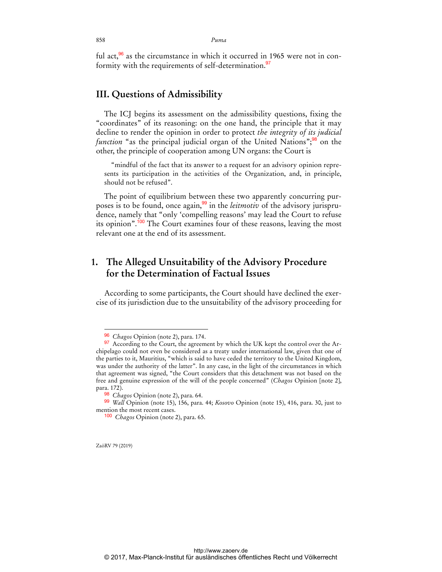ful act, $96$  as the circumstance in which it occurred in 1965 were not in conformity with the requirements of self-determination.<sup>97</sup>

### **III. Questions of Admissibility**

The ICJ begins its assessment on the admissibility questions, fixing the "coordinates" of its reasoning: on the one hand, the principle that it may decline to render the opinion in order to protect *the integrity of its judicial function* "as the principal judicial organ of the United Nations";<sup>98</sup> on the other, the principle of cooperation among UN organs: the Court is

"mindful of the fact that its answer to a request for an advisory opinion represents its participation in the activities of the Organization, and, in principle, should not be refused".

The point of equilibrium between these two apparently concurring purposes is to be found, once again,99 in the *leitmotiv* of the advisory jurisprudence, namely that "only 'compelling reasons' may lead the Court to refuse its opinion".<sup>100</sup> The Court examines four of these reasons, leaving the most relevant one at the end of its assessment.

## **1. The Alleged Unsuitability of the Advisory Procedure for the Determination of Factual Issues**

According to some participants, the Court should have declined the exercise of its jurisdiction due to the unsuitability of the advisory proceeding for

ZaöRV 79 (2019)

<sup>96</sup> *Chagos* Opinion (note 2), para. 174.

<sup>97</sup> According to the Court, the agreement by which the UK kept the control over the Archipelago could not even be considered as a treaty under international law, given that one of the parties to it, Mauritius, "which is said to have ceded the territory to the United Kingdom, was under the authority of the latter". In any case, in the light of the circumstances in which that agreement was signed, "the Court considers that this detachment was not based on the free and genuine expression of the will of the people concerned" (*Chagos* Opinion [note 2], para. 172).

<sup>98</sup> *Chagos* Opinion (note 2), para. 64.

<sup>99</sup> *Wall* Opinion (note 15), 156, para. 44; *Kosovo* Opinion (note 15), 416, para. 30, just to mention the most recent cases.

<sup>100</sup> *Chagos* Opinion (note 2), para. 65.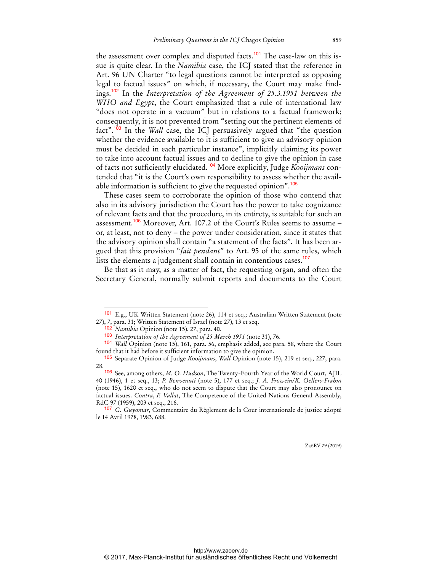the assessment over complex and disputed facts.<sup>101</sup> The case-law on this issue is quite clear. In the *Namibia* case, the ICJ stated that the reference in Art. 96 UN Charter "to legal questions cannot be interpreted as opposing legal to factual issues" on which, if necessary, the Court may make findings.<sup>102</sup> In the *Interpretation of the Agreement of 25.3.1951 between the WHO and Egypt*, the Court emphasized that a rule of international law "does not operate in a vacuum" but in relations to a factual framework; consequently, it is not prevented from "setting out the pertinent elements of fact".<sup>103</sup> In the *Wall* case, the ICJ persuasively argued that "the question whether the evidence available to it is sufficient to give an advisory opinion must be decided in each particular instance", implicitly claiming its power to take into account factual issues and to decline to give the opinion in case of facts not sufficiently elucidated.104 More explicitly, Judge *Kooijmans* contended that "it is the Court's own responsibility to assess whether the available information is sufficient to give the requested opinion".<sup>105</sup>

These cases seem to corroborate the opinion of those who contend that also in its advisory jurisdiction the Court has the power to take cognizance of relevant facts and that the procedure, in its entirety, is suitable for such an assessment.<sup>106</sup> Moreover, Art. 107.2 of the Court's Rules seems to assume or, at least, not to deny – the power under consideration, since it states that the advisory opinion shall contain "a statement of the facts". It has been argued that this provision "*fait pendant*" to Art. 95 of the same rules, which lists the elements a judgement shall contain in contentious cases.<sup>107</sup>

Be that as it may, as a matter of fact, the requesting organ, and often the Secretary General, normally submit reports and documents to the Court

 $\overline{a}$ 

<sup>101</sup> E.g., UK Written Statement (note 26), 114 et seq.; Australian Written Statement (note 27), 7, para. 31; Written Statement of Israel (note 27), 13 et seq.

<sup>&</sup>lt;sup>2</sup> *Namibia* Opinion (note 15), 27, para. 40.

<sup>103</sup> *Interpretation of the Agreement of 25 March 1951* (note 31), 76.

<sup>104</sup> *Wall* Opinion (note 15), 161, para. 56, emphasis added, see para. 58, where the Court found that it had before it sufficient information to give the opinion.

<sup>105</sup> Separate Opinion of Judge *Kooijmans*, *Wall* Opinion (note 15), 219 et seq., 227, para. 28.

<sup>106</sup> See, among others, *M. O. Hudson*, The Twenty-Fourth Year of the World Court, AJIL 40 (1946), 1 et seq., 13; *P. Benvenuti* (note 5), 177 et seq.; *J. A. Frowein/K. Oellers-Frahm* (note 15), 1620 et seq., who do not seem to dispute that the Court may also pronounce on factual issues. *Contra*, *F. Vallat*, The Competence of the United Nations General Assembly, RdC 97 (1959), 203 et seq., 216.

<sup>107</sup> *G. Guyomar*, Commentaire du Règlement de la Cour internationale de justice adopté le 14 Avril 1978, 1983, 688.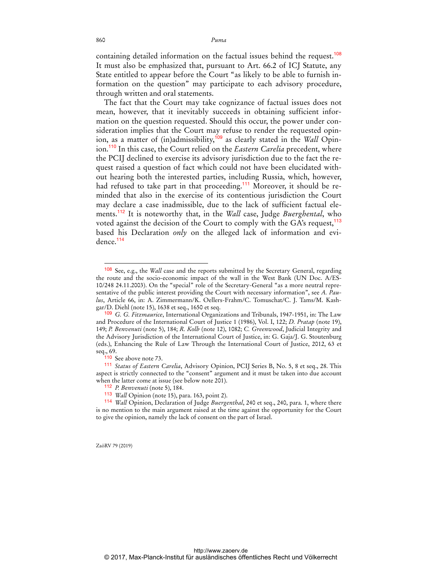containing detailed information on the factual issues behind the request.<sup>108</sup> It must also be emphasized that, pursuant to Art. 66.2 of ICJ Statute, any State entitled to appear before the Court "as likely to be able to furnish information on the question" may participate to each advisory procedure, through written and oral statements.

The fact that the Court may take cognizance of factual issues does not mean, however, that it inevitably succeeds in obtaining sufficient information on the question requested. Should this occur, the power under consideration implies that the Court may refuse to render the requested opinion, as a matter of (in)admissibility,<sup>109</sup> as clearly stated in the *Wall* Opinion.<sup>110</sup> In this case, the Court relied on the *Eastern Carelia* precedent, where the PCIJ declined to exercise its advisory jurisdiction due to the fact the request raised a question of fact which could not have been elucidated without hearing both the interested parties, including Russia, which, however, had refused to take part in that proceeding.<sup>111</sup> Moreover, it should be reminded that also in the exercise of its contentious jurisdiction the Court may declare a case inadmissible, due to the lack of sufficient factual elements.<sup>112</sup> It is noteworthy that, in the *Wall* case, Judge *Buerghental*, who voted against the decision of the Court to comply with the GA's request,<sup>113</sup> based his Declaration *only* on the alleged lack of information and evidence.<sup>114</sup>

ZaöRV 79 (2019)

<sup>108</sup> See, e.g., the *Wall* case and the reports submitted by the Secretary General, regarding the route and the socio-economic impact of the wall in the West Bank (UN Doc. A/ES-10/248 24.11.2003). On the "special" role of the Secretary-General "as a more neutral representative of the public interest providing the Court with necessary information", see *A. Paulus*, Article 66, in: A. Zimmermann/K. Oellers-Frahm/C. Tomuschat/C. J. Tams/M. Kashgar/D. Diehl (note 15), 1638 et seq., 1650 et seq.

<sup>109</sup> *G. G. Fitzmaurice*, International Organizations and Tribunals, 1947-1951, in: The Law and Procedure of the International Court of Justice 1 (1986), Vol. I, 122; *D. Pratap* (note 19), 149; *P. Benvenuti* (note 5), 184; *R. Kolb* (note 12), 1082; *C. Greenwood*, Judicial Integrity and the Advisory Jurisdiction of the International Court of Justice, in: G. Gaja/J. G. Stoutenburg (eds.), Enhancing the Rule of Law Through the International Court of Justice, 2012, 63 et seq., 69.

<sup>110</sup> See above note 73.

<sup>111</sup> *Status of Eastern Carelia*, Advisory Opinion, PCIJ Series B, No. 5, 8 et seq., 28. This aspect is strictly connected to the "consent" argument and it must be taken into due account when the latter come at issue (see below note 201).

<sup>112</sup> *P. Benvenuti* (note 5), 184.

<sup>113</sup> *Wall* Opinion (note 15), para. 163, point 2).

<sup>114</sup> *Wall* Opinion, Declaration of Judge *Buergenthal*, 240 et seq., 240, para. 1, where there is no mention to the main argument raised at the time against the opportunity for the Court to give the opinion, namely the lack of consent on the part of Israel.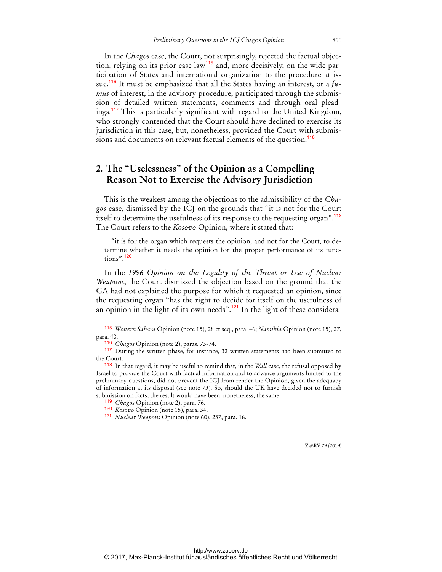In the *Chagos* case, the Court, not surprisingly, rejected the factual objection, relying on its prior case law<sup>115</sup> and, more decisively, on the wide participation of States and international organization to the procedure at issue.116 It must be emphasized that all the States having an interest, or a *fumus* of interest, in the advisory procedure, participated through the submission of detailed written statements, comments and through oral pleadings.<sup>117</sup> This is particularly significant with regard to the United Kingdom, who strongly contended that the Court should have declined to exercise its jurisdiction in this case, but, nonetheless, provided the Court with submissions and documents on relevant factual elements of the question.<sup>118</sup>

## **2. The "Uselessness" of the Opinion as a Compelling Reason Not to Exercise the Advisory Jurisdiction**

This is the weakest among the objections to the admissibility of the *Chagos* case, dismissed by the ICJ on the grounds that "it is not for the Court itself to determine the usefulness of its response to the requesting organ".<sup>119</sup> The Court refers to the *Kosovo* Opinion, where it stated that:

"it is for the organ which requests the opinion, and not for the Court, to determine whether it needs the opinion for the proper performance of its functions".<sup>120</sup>

In the *1996 Opinion on the Legality of the Threat or Use of Nuclear Weapons*, the Court dismissed the objection based on the ground that the GA had not explained the purpose for which it requested an opinion, since the requesting organ "has the right to decide for itself on the usefulness of an opinion in the light of its own needs".<sup>121</sup> In the light of these considera-

 $\overline{a}$ 

<sup>115</sup> *Western Sahara* Opinion (note 15), 28 et seq., para. 46; *Namibia* Opinion (note 15), 27, para. 40.

<sup>116</sup> *Chagos* Opinion (note 2), paras. 73-74.

<sup>&</sup>lt;sup>117</sup> During the written phase, for instance, 32 written statements had been submitted to the Court.

<sup>118</sup> In that regard, it may be useful to remind that, in the *Wall* case, the refusal opposed by Israel to provide the Court with factual information and to advance arguments limited to the preliminary questions, did not prevent the ICJ from render the Opinion, given the adequacy of information at its disposal (see note 73). So, should the UK have decided not to furnish submission on facts, the result would have been, nonetheless, the same.

<sup>119</sup> *Chagos* Opinion (note 2), para. 76.

<sup>120</sup> *Kosovo* Opinion (note 15), para. 34.

<sup>121</sup> *Nuclear Weapons* Opinion (note 60), 237, para. 16.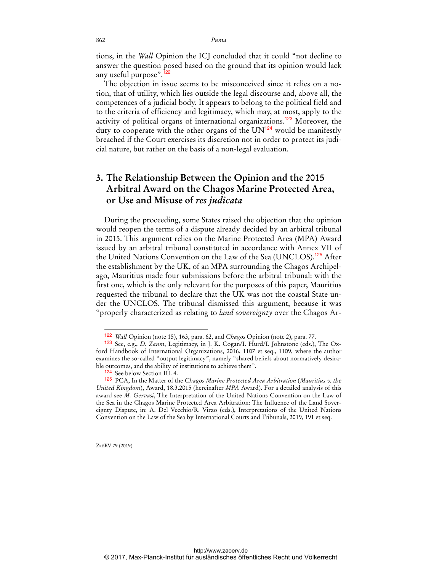tions, in the *Wall* Opinion the ICJ concluded that it could "not decline to answer the question posed based on the ground that its opinion would lack any useful purpose".<sup>122</sup>

The objection in issue seems to be misconceived since it relies on a notion, that of utility, which lies outside the legal discourse and, above all, the competences of a judicial body. It appears to belong to the political field and to the criteria of efficiency and legitimacy, which may, at most, apply to the activity of political organs of international organizations.<sup>123</sup> Moreover, the duty to cooperate with the other organs of the  $UN^{124}$  would be manifestly breached if the Court exercises its discretion not in order to protect its judicial nature, but rather on the basis of a non-legal evaluation.

## **3. The Relationship Between the Opinion and the 2015 Arbitral Award on the Chagos Marine Protected Area, or Use and Misuse of** *res judicata*

During the proceeding, some States raised the objection that the opinion would reopen the terms of a dispute already decided by an arbitral tribunal in 2015. This argument relies on the Marine Protected Area (MPA) Award issued by an arbitral tribunal constituted in accordance with Annex VII of the United Nations Convention on the Law of the Sea (UNCLOS).<sup>125</sup> After the establishment by the UK, of an MPA surrounding the Chagos Archipelago, Mauritius made four submissions before the arbitral tribunal: with the first one, which is the only relevant for the purposes of this paper, Mauritius requested the tribunal to declare that the UK was not the coastal State under the UNCLOS. The tribunal dismissed this argument, because it was "properly characterized as relating to *land sovereignty* over the Chagos Ar-

ZaöRV 79 (2019)

<sup>122</sup> *Wall* Opinion (note 15), 163, para. 62, and *Chagos* Opinion (note 2), para. 77.

<sup>123</sup> See, e.g., *D. Zaum*, Legitimacy, in J. K. Cogan/I. Hurd/I. Johnstone (eds.), The Oxford Handbook of International Organizations, 2016, 1107 et seq., 1109, where the author examines the so-called "output legitimacy", namely "shared beliefs about normatively desirable outcomes, and the ability of institutions to achieve them".

<sup>124</sup> See below Section III. 4.

<sup>125</sup> PCA, In the Matter of the *Chagos Marine Protected Area Arbitration* (*Mauritius v. the United Kingdom*), Award, 18.3.2015 (hereinafter *MPA* Award). For a detailed analysis of this award see *M. Gervasi*, The Interpretation of the United Nations Convention on the Law of the Sea in the Chagos Marine Protected Area Arbitration: The Influence of the Land Sovereignty Dispute, in: A. Del Vecchio/R. Virzo (eds.), Interpretations of the United Nations Convention on the Law of the Sea by International Courts and Tribunals, 2019, 191 et seq.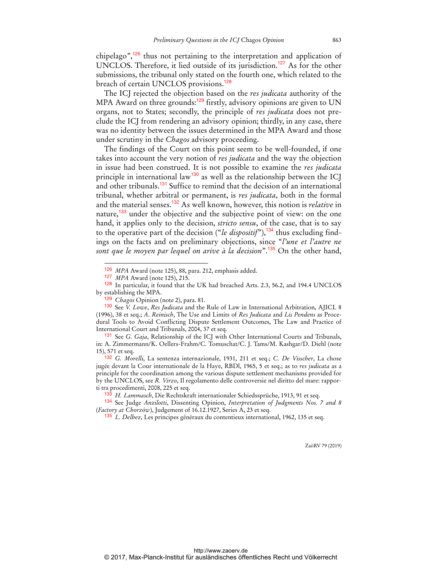chipelago", $126$  thus not pertaining to the interpretation and application of UNCLOS. Therefore, it lied outside of its jurisdiction.<sup>127</sup> As for the other submissions, the tribunal only stated on the fourth one, which related to the breach of certain UNCLOS provisions.<sup>128</sup>

The ICJ rejected the objection based on the *res judicata* authority of the MPA Award on three grounds:<sup>129</sup> firstly, advisory opinions are given to UN organs, not to States; secondly, the principle of *res judicata* does not preclude the ICJ from rendering an advisory opinion; thirdly, in any case, there was no identity between the issues determined in the MPA Award and those under scrutiny in the *Chagos* advisory proceeding.

The findings of the Court on this point seem to be well-founded, if one takes into account the very notion of *res judicata* and the way the objection in issue had been construed. It is not possible to examine the *res judicata* principle in international law<sup>130</sup> as well as the relationship between the ICJ and other tribunals.<sup>131</sup> Suffice to remind that the decision of an international tribunal, whether arbitral or permanent, is *res judicata*, both in the formal and the material senses.<sup>132</sup> As well known, however, this notion is *relative* in nature, $133$  under the objective and the subjective point of view: on the one hand, it applies only to the decision, *stricto sensu*, of the case, that is to say to the operative part of the decision ("*le dispositif*"),<sup>134</sup> thus excluding findings on the facts and on preliminary objections, since "*l'une et l'autre ne sont que le moyen par lequel on arive à la decision*".<sup>135</sup> On the other hand,

 $\overline{a}$ 

<sup>126</sup> *MPA* Award (note 125), 88, para. 212, emphasis added.

<sup>127</sup> *MPA* Award (note 125), 215.

<sup>128</sup> In particular, it found that the UK had breached Arts. 2.3, 56.2, and 194.4 UNCLOS by establishing the MPA.

<sup>129</sup> *Chagos* Opinion (note 2), para. 81.

<sup>130</sup> See *V. Lowe*, *Res Judicata* and the Rule of Law in International Arbitration, AJICL 8 (1996), 38 et seq.; *A. Reinisch*, The Use and Limits of *Res Judicata* and *Lis Pendens* as Procedural Tools to Avoid Conflicting Dispute Settlement Outcomes, The Law and Practice of International Court and Tribunals, 2004, 37 et seq.

<sup>131</sup> See *G. Gaja*, Relationship of the ICJ with Other International Courts and Tribunals, in: A. Zimmermann/K. Oellers-Frahm/C. Tomuschat/C. J. Tams/M. Kashgar/D. Diehl (note 15), 571 et seq.

<sup>132</sup> *G. Morelli*, La sentenza internazionale, 1931, 211 et seq.; *C. De Visscher*, La chose jugée devant la Cour internationale de la Haye, RBDl, 1965, 5 et seq.; as to *res judicata* as a principle for the coordination among the various dispute settlement mechanisms provided for by the UNCLOS, see *R. Virzo*, Il regolamento delle controversie nel diritto del mare: rapporti tra procedimenti, 2008, 225 et seq.

<sup>133</sup> *H. Lammasch*, Die Rechtskraft internationaler Schiedssprüche, 1913, 91 et seq.

<sup>134</sup> See Judge *Anzilotti*, Dissenting Opinion, *Interpretation of Judgments Nos. 7 and 8*  (*Factory at Chorzów*), Judgement of 16.12.1927, Series A, 23 et seq.

<sup>135</sup> *L. Delbez*, Les principes généraux du contentieux international, 1962, 135 et seq.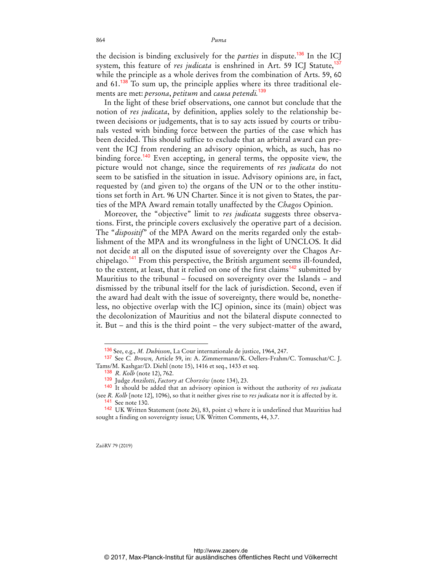the decision is binding exclusively for the *parties* in dispute.<sup>136</sup> In the ICJ system, this feature of *res judicata* is enshrined in Art. 59 ICJ Statute,<sup>137</sup> while the principle as a whole derives from the combination of Arts. 59, 60 and  $61<sup>138</sup>$  To sum up, the principle applies where its three traditional elements are met: *persona*, *petitum* and *causa petendi.*<sup>139</sup>

In the light of these brief observations, one cannot but conclude that the notion of *res judicata*, by definition, applies solely to the relationship between decisions or judgements, that is to say acts issued by courts or tribunals vested with binding force between the parties of the case which has been decided. This should suffice to exclude that an arbitral award can prevent the ICJ from rendering an advisory opinion, which, as such, has no binding force.<sup>140</sup> Even accepting, in general terms, the opposite view, the picture would not change, since the requirements of *res judicata* do not seem to be satisfied in the situation in issue. Advisory opinions are, in fact, requested by (and given to) the organs of the UN or to the other institutions set forth in Art. 96 UN Charter. Since it is not given to States, the parties of the MPA Award remain totally unaffected by the *Chagos* Opinion.

Moreover, the "objective" limit to *res judicata* suggests three observations. First, the principle covers exclusively the operative part of a decision. The "*dispositif*" of the MPA Award on the merits regarded only the establishment of the MPA and its wrongfulness in the light of UNCLOS. It did not decide at all on the disputed issue of sovereignty over the Chagos Archipelago.<sup>141</sup> From this perspective, the British argument seems ill-founded, to the extent, at least, that it relied on one of the first claims<sup>142</sup> submitted by Mauritius to the tribunal – focused on sovereignty over the Islands – and dismissed by the tribunal itself for the lack of jurisdiction. Second, even if the award had dealt with the issue of sovereignty, there would be, nonetheless, no objective overlap with the ICJ opinion, since its (main) object was the decolonization of Mauritius and not the bilateral dispute connected to it. But – and this is the third point – the very subject-matter of the award,

ZaöRV 79 (2019)

<sup>136</sup> See, e.g., *M. Dubisson*, La Cour internationale de justice, 1964, 247.

<sup>137</sup> See *C. Brown,* Article 59, in: A. Zimmermann/K. Oellers-Frahm/C. Tomuschat/C. J. Tams/M. Kashgar/D. Diehl (note 15), 1416 et seq., 1433 et seq.

<sup>138</sup> *R. Kolb* (note 12), 762.

<sup>139</sup> Judge *Anzilotti*, *Factory at Chorzów* (note 134), 23.

<sup>140</sup> It should be added that an advisory opinion is without the authority of *res judicata*

<sup>(</sup>see *R. Kolb* [note 12], 1096), so that it neither gives rise to *res judicata* nor it is affected by it. 141 See note 130.

<sup>142</sup> UK Written Statement (note 26), 83, point c) where it is underlined that Mauritius had sought a finding on sovereignty issue; UK Written Comments, 44, 3.7.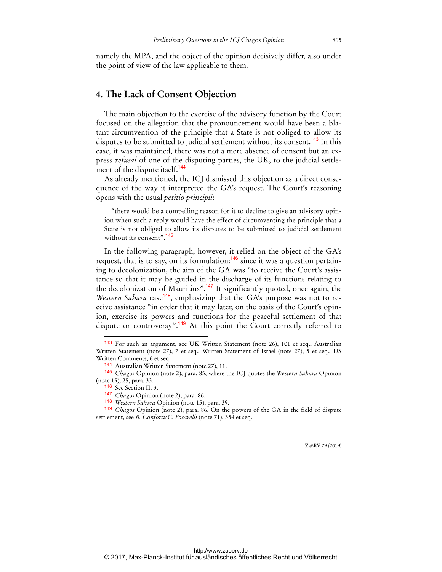namely the MPA, and the object of the opinion decisively differ, also under the point of view of the law applicable to them.

### **4. The Lack of Consent Objection**

The main objection to the exercise of the advisory function by the Court focused on the allegation that the pronouncement would have been a blatant circumvention of the principle that a State is not obliged to allow its disputes to be submitted to judicial settlement without its consent.<sup>143</sup> In this case, it was maintained, there was not a mere absence of consent but an express *refusal* of one of the disputing parties, the UK, to the judicial settlement of the dispute itself.<sup>144</sup>

As already mentioned, the ICJ dismissed this objection as a direct consequence of the way it interpreted the GA's request. The Court's reasoning opens with the usual *petitio principii*:

"there would be a compelling reason for it to decline to give an advisory opinion when such a reply would have the effect of circumventing the principle that a State is not obliged to allow its disputes to be submitted to judicial settlement without its consent".<sup>145</sup>

In the following paragraph, however, it relied on the object of the GA's request, that is to say, on its formulation: $146$  since it was a question pertaining to decolonization, the aim of the GA was "to receive the Court's assistance so that it may be guided in the discharge of its functions relating to the decolonization of Mauritius".<sup>147</sup> It significantly quoted, once again, the *Western Sahara* case<sup>148</sup>, emphasizing that the GA's purpose was not to receive assistance "in order that it may later, on the basis of the Court's opinion, exercise its powers and functions for the peaceful settlement of that dispute or controversy".<sup>149</sup> At this point the Court correctly referred to

 $\overline{a}$ 

<sup>143</sup> For such an argument, see UK Written Statement (note 26), 101 et seq.; Australian Written Statement (note 27), 7 et seq.; Written Statement of Israel (note 27), 5 et seq.; US Written Comments, 6 et seq.

<sup>144</sup> Australian Written Statement (note 27), 11.

<sup>145</sup> *Chagos* Opinion (note 2), para. 85, where the ICJ quotes the *Western Sahara* Opinion (note 15), 25, para. 33.

<sup>146</sup> See Section II. 3.

<sup>147</sup> *Chagos* Opinion (note 2), para. 86.

<sup>148</sup> *Western Sahara* Opinion (note 15), para. 39.

<sup>149</sup> *Chagos* Opinion (note 2), para. 86. On the powers of the GA in the field of dispute settlement, see *B. Conforti/C. Focarelli* (note 71), 354 et seq.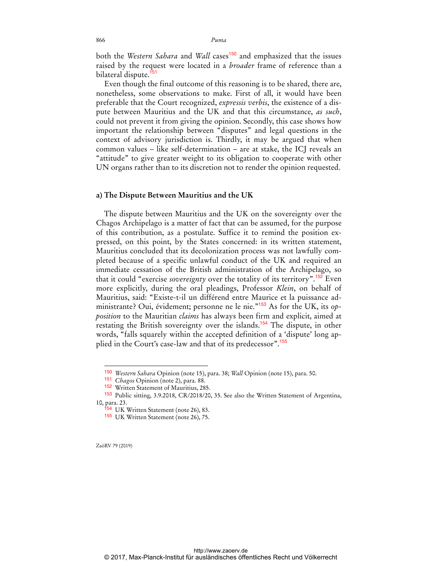both the *Western Sahara* and *Wall* cases<sup>150</sup> and emphasized that the issues raised by the request were located in a *broader* frame of reference than a bilateral dispute.<sup>151</sup>

Even though the final outcome of this reasoning is to be shared, there are, nonetheless, some observations to make. First of all, it would have been preferable that the Court recognized, *expressis verbis*, the existence of a dispute between Mauritius and the UK and that this circumstance, *as such*, could not prevent it from giving the opinion. Secondly, this case shows how important the relationship between "disputes" and legal questions in the context of advisory jurisdiction is. Thirdly, it may be argued that when common values – like self-determination – are at stake, the ICJ reveals an "attitude" to give greater weight to its obligation to cooperate with other UN organs rather than to its discretion not to render the opinion requested.

#### **a) The Dispute Between Mauritius and the UK**

The dispute between Mauritius and the UK on the sovereignty over the Chagos Archipelago is a matter of fact that can be assumed, for the purpose of this contribution, as a postulate. Suffice it to remind the position expressed, on this point, by the States concerned: in its written statement, Mauritius concluded that its decolonization process was not lawfully completed because of a specific unlawful conduct of the UK and required an immediate cessation of the British administration of the Archipelago, so that it could "exercise *sovereignty* over the totality of its territory".<sup>152</sup> Even more explicitly, during the oral pleadings, Professor *Klein*, on behalf of Mauritius, said: "Existe-t-il un différend entre Maurice et la puissance administrante? Oui, évidement; personne ne le nie."153 As for the UK, its *opposition* to the Mauritian *claims* has always been firm and explicit, aimed at restating the British sovereignty over the islands.<sup>154</sup> The dispute, in other words, "falls squarely within the accepted definition of a 'dispute' long applied in the Court's case-law and that of its predecessor".<sup>155</sup>

ZaöRV 79 (2019)

<sup>150</sup> *Western Sahara* Opinion (note 15), para. 38; *Wall* Opinion (note 15), para. 50.

<sup>151</sup> *Chagos* Opinion (note 2), para. 88.

<sup>152</sup> Written Statement of Mauritius, 285.

<sup>153</sup> Public sitting, 3.9.2018, CR/2018/20, 35. See also the Written Statement of Argentina, 10, para. 23.

<sup>54</sup> UK Written Statement (note 26), 83.

<sup>155</sup> UK Written Statement (note 26), 75.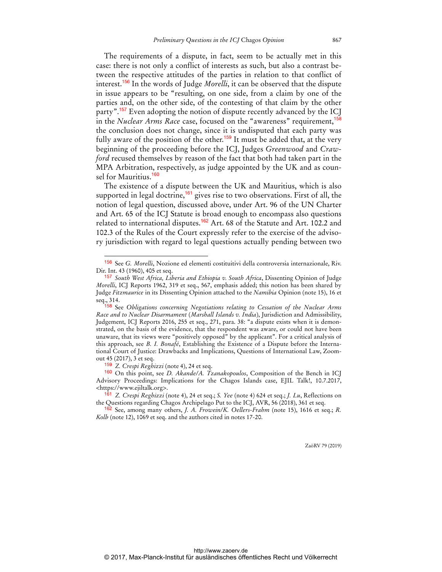The requirements of a dispute, in fact, seem to be actually met in this case: there is not only a conflict of interests as such, but also a contrast between the respective attitudes of the parties in relation to that conflict of interest.<sup>156</sup> In the words of Judge *Morelli*, it can be observed that the dispute in issue appears to be "resulting, on one side, from a claim by one of the parties and, on the other side, of the contesting of that claim by the other party".<sup>157</sup> Even adopting the notion of dispute recently advanced by the ICJ in the *Nuclear Arms Race* case, focused on the "awareness" requirement,<sup>158</sup> the conclusion does not change, since it is undisputed that each party was fully aware of the position of the other.<sup>159</sup> It must be added that, at the very beginning of the proceeding before the ICJ, Judges *Greenwood* and *Crawford* recused themselves by reason of the fact that both had taken part in the MPA Arbitration, respectively, as judge appointed by the UK and as counsel for Mauritius.<sup>160</sup>

The existence of a dispute between the UK and Mauritius, which is also supported in legal doctrine,<sup>161</sup> gives rise to two observations. First of all, the notion of legal question, discussed above, under Art. 96 of the UN Charter and Art. 65 of the ICJ Statute is broad enough to encompass also questions related to international disputes.<sup>162</sup> Art. 68 of the Statute and Art. 102.2 and 102.3 of the Rules of the Court expressly refer to the exercise of the advisory jurisdiction with regard to legal questions actually pending between two

159 *Z. Crespi Reghizzi* (note 4), 24 et seq.

 $\overline{a}$ 

160 On this point, see *D. Akande/A. Tzanakopoulos*, Composition of the Bench in ICJ Advisory Proceedings: Implications for the Chagos Islands case, EJIL Talk!, 10.7.2017, <https://www.ejiltalk.org>.

<sup>156</sup> See *G. Morelli*, Nozione ed elementi costituitivi della controversia internazionale, Riv. Dir. Int. 43 (1960), 405 et seq.

<sup>157</sup> *South West Africa, Liberia and Ethiopia v. South Africa*, Dissenting Opinion of Judge *Morelli*, ICJ Reports 1962, 319 et seq., 567, emphasis added; this notion has been shared by Judge *Fitzmaurice* in its Dissenting Opinion attached to the *Namibia* Opinion (note 15), 16 et seq., 314.

<sup>158</sup> See *Obligations concerning Negotiations relating to Cessation of the Nuclear Arms Race and to Nuclear Disarmament* (*Marshall Islands v. India*), Jurisdiction and Admissibility, Judgement, ICJ Reports 2016, 255 et seq., 271, para. 38: "a dispute exists when it is demonstrated, on the basis of the evidence, that the respondent was aware, or could not have been unaware, that its views were "positively opposed" by the applicant". For a critical analysis of this approach, see *B. I. Bonafé*, Establishing the Existence of a Dispute before the International Court of Justice: Drawbacks and Implications, Questions of International Law, Zoomout 45 (2017), 3 et seq.

<sup>161</sup> *Z. Crespi Reghizzi* (note 4), 24 et seq.; *S. Yee* (note 4) 624 et seq.; *J. Lu*, Reflections on the Questions regarding Chagos Archipelago Put to the ICJ, AVR, 56 (2018), 361 et seq.

<sup>162</sup> See, among many others, *J. A. Frowein/K. Oellers-Frahm* (note 15), 1616 et seq.; *R. Kolb* (note 12), 1069 et seq. and the authors cited in notes 17-20.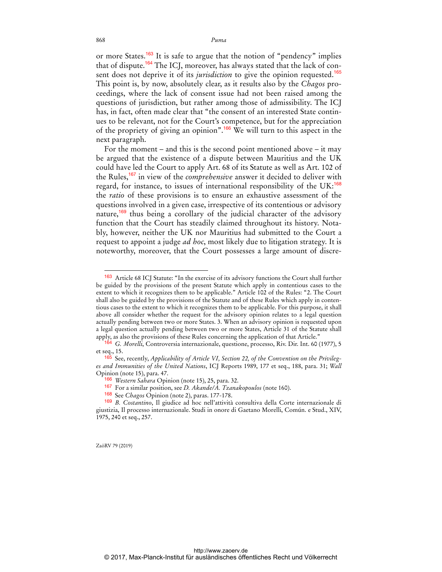or more States.<sup>163</sup> It is safe to argue that the notion of "pendency" implies that of dispute.<sup>164</sup> The ICJ, moreover, has always stated that the lack of consent does not deprive it of its *jurisdiction* to give the opinion requested.<sup>165</sup> This point is, by now, absolutely clear, as it results also by the *Chagos* proceedings, where the lack of consent issue had not been raised among the questions of jurisdiction, but rather among those of admissibility. The ICJ has, in fact, often made clear that "the consent of an interested State continues to be relevant, not for the Court's competence, but for the appreciation of the propriety of giving an opinion".<sup>166</sup> We will turn to this aspect in the next paragraph.

For the moment – and this is the second point mentioned above – it may be argued that the existence of a dispute between Mauritius and the UK could have led the Court to apply Art. 68 of its Statute as well as Art. 102 of the Rules,<sup>167</sup> in view of the *comprehensive* answer it decided to deliver with regard, for instance, to issues of international responsibility of the  $UK:^{168}$ the *ratio* of these provisions is to ensure an exhaustive assessment of the questions involved in a given case, irrespective of its contentious or advisory nature,<sup>169</sup> thus being a corollary of the judicial character of the advisory function that the Court has steadily claimed throughout its history. Notably, however, neither the UK nor Mauritius had submitted to the Court a request to appoint a judge *ad hoc*, most likely due to litigation strategy. It is noteworthy, moreover, that the Court possesses a large amount of discre-

ZaöRV 79 (2019)

<sup>163</sup> Article 68 ICJ Statute: "In the exercise of its advisory functions the Court shall further be guided by the provisions of the present Statute which apply in contentious cases to the extent to which it recognizes them to be applicable." Article 102 of the Rules: "2. The Court shall also be guided by the provisions of the Statute and of these Rules which apply in contentious cases to the extent to which it recognizes them to be applicable. For this purpose, it shall above all consider whether the request for the advisory opinion relates to a legal question actually pending between two or more States. 3. When an advisory opinion is requested upon a legal question actually pending between two or more States, Article 31 of the Statute shall apply, as also the provisions of these Rules concerning the application of that Article."

<sup>164</sup> *G. Morelli*, Controversia internazionale, questione, processo, Riv. Dir. Int. 60 (1977), 5 et seq., 15.

<sup>165</sup> See, recently, *Applicability of Article VI, Section 22, of the Convention on the Privileges and Immunities of the United Nations*, ICJ Reports 1989, 177 et seq., 188, para. 31; *Wall* Opinion (note 15), para. 47.

<sup>166</sup> *Western Sahara* Opinion (note 15), 25, para. 32.

<sup>167</sup> For a similar position, see *D. Akande/A. Tzanakopoulos* (note 160).

<sup>168</sup> See *Chagos* Opinion (note 2), paras. 177-178.

<sup>169</sup> *B. Costantino*, Il giudice ad hoc nell'attività consultiva della Corte internazionale di giustizia, Il processo internazionale. Studi in onore di Gaetano Morelli, Común. e Stud., XIV, 1975, 240 et seq., 257.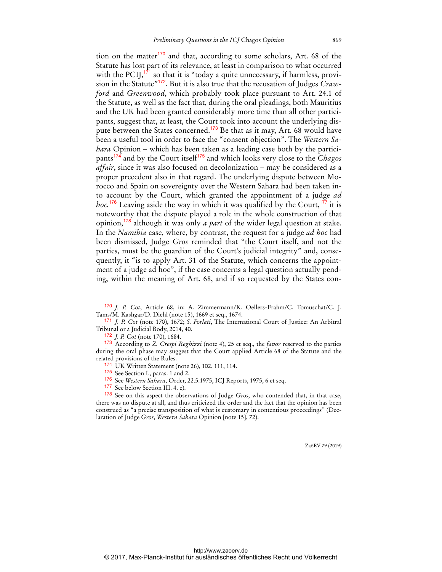tion on the matter<sup>170</sup> and that, according to some scholars, Art. 68 of the Statute has lost part of its relevance, at least in comparison to what occurred with the PCIJ,<sup>171</sup> so that it is "today a quite unnecessary, if harmless, provision in the Statute"172. But it is also true that the recusation of Judges *Crawford* and *Greenwood*, which probably took place pursuant to Art. 24.1 of the Statute, as well as the fact that, during the oral pleadings, both Mauritius and the UK had been granted considerably more time than all other participants, suggest that, at least, the Court took into account the underlying dispute between the States concerned.<sup>173</sup> Be that as it may, Art. 68 would have been a useful tool in order to face the "consent objection". The *Western Sahara* Opinion – which has been taken as a leading case both by the participants<sup>174</sup> and by the Court itself<sup>175</sup> and which looks very close to the *Chagos affair*, since it was also focused on decolonization – may be considered as a proper precedent also in that regard. The underlying dispute between Morocco and Spain on sovereignty over the Western Sahara had been taken into account by the Court, which granted the appointment of a judge *ad hoc.*<sup>176</sup> Leaving aside the way in which it was qualified by the Court,<sup>177</sup> it is noteworthy that the dispute played a role in the whole construction of that opinion,<sup>178</sup> although it was only *a part* of the wider legal question at stake. In the *Namibia* case, where, by contrast, the request for a judge *ad hoc* had been dismissed, Judge *Gros* reminded that "the Court itself, and not the parties, must be the guardian of the Court's judicial integrity" and, consequently, it "is to apply Art. 31 of the Statute, which concerns the appointment of a judge ad hoc", if the case concerns a legal question actually pending, within the meaning of Art. 68, and if so requested by the States con-

 $\ddot{ }$ 

<sup>170</sup> *J. P. Cot*, Article 68, in: A. Zimmermann/K. Oellers-Frahm/C. Tomuschat/C. J. Tams/M. Kashgar/D. Diehl (note 15), 1669 et seq., 1674.

<sup>171</sup> *J. P. Cot* (note 170), 1672; *S. Forlati*, The International Court of Justice: An Arbitral Tribunal or a Judicial Body, 2014, 40.

<sup>172</sup> *J. P. Cot* (note 170), 1684.

<sup>173</sup> According to *Z. Crespi Reghizzi* (note 4), 25 et seq., the *favor* reserved to the parties during the oral phase may suggest that the Court applied Article 68 of the Statute and the related provisions of the Rules.

<sup>174</sup> UK Written Statement (note 26), 102, 111, 114.

<sup>175</sup> See Section I., paras. 1 and 2.

<sup>176</sup> See *Western Sahara*, Order, 22.5.1975, ICJ Reports, 1975, 6 et seq.

<sup>177</sup> See below Section III. 4. c).

<sup>178</sup> See on this aspect the observations of Judge *Gros*, who contended that, in that case, there was no dispute at all, and thus criticized the order and the fact that the opinion has been construed as "a precise transposition of what is customary in contentious proceedings" (Declaration of Judge *Gros*, *Western Sahara* Opinion [note 15], 72).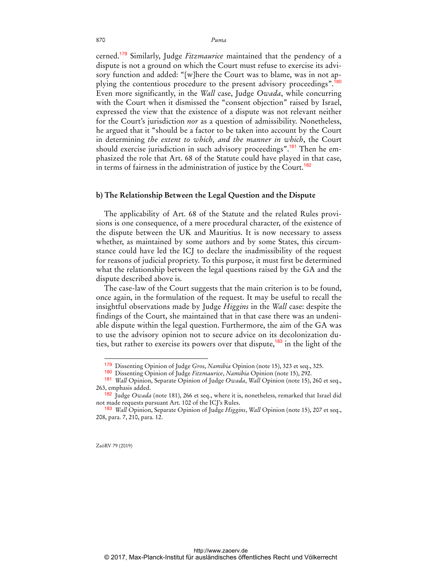cerned.<sup>179</sup> Similarly, Judge *Fitzmaurice* maintained that the pendency of a dispute is not a ground on which the Court must refuse to exercise its advisory function and added: "[w]here the Court was to blame, was in not applying the contentious procedure to the present advisory proceedings".<sup>180</sup> Even more significantly, in the *Wall* case, Judge *Owada*, while concurring with the Court when it dismissed the "consent objection" raised by Israel, expressed the view that the existence of a dispute was not relevant neither for the Court's jurisdiction *nor* as a question of admissibility. Nonetheless, he argued that it "should be a factor to be taken into account by the Court in determining *the extent to which, and the manner in which*, the Court should exercise jurisdiction in such advisory proceedings".<sup>181</sup> Then he emphasized the role that Art. 68 of the Statute could have played in that case, in terms of fairness in the administration of justice by the Court.<sup>182</sup>

### **b) The Relationship Between the Legal Question and the Dispute**

The applicability of Art. 68 of the Statute and the related Rules provisions is one consequence, of a mere procedural character, of the existence of the dispute between the UK and Mauritius. It is now necessary to assess whether, as maintained by some authors and by some States, this circumstance could have led the ICJ to declare the inadmissibility of the request for reasons of judicial propriety. To this purpose, it must first be determined what the relationship between the legal questions raised by the GA and the dispute described above is.

The case-law of the Court suggests that the main criterion is to be found, once again, in the formulation of the request. It may be useful to recall the insightful observations made by Judge *Higgins* in the *Wall* case: despite the findings of the Court, she maintained that in that case there was an undeniable dispute within the legal question. Furthermore, the aim of the GA was to use the advisory opinion not to secure advice on its decolonization duties, but rather to exercise its powers over that dispute, $183$  in the light of the

ZaöRV 79 (2019)

<sup>179</sup> Dissenting Opinion of Judge *Gros*, *Namibia* Opinion (note 15), 323 et seq., 325.

<sup>180</sup> Dissenting Opinion of Judge *Fitzmaurice*, *Namibia* Opinion (note 15), 292.

<sup>181</sup> *Wall* Opinion, Separate Opinion of Judge *Owada*, *Wall* Opinion (note 15), 260 et seq., 263, emphasis added.

<sup>182</sup> Judge *Owada* (note 181), 266 et seq., where it is, nonetheless, remarked that Israel did not made requests pursuant Art. 102 of the ICJ's Rules.

<sup>183</sup> *Wall* Opinion, Separate Opinion of Judge *Higgins*, *Wall* Opinion (note 15), 207 et seq., 208, para. 7, 210, para. 12.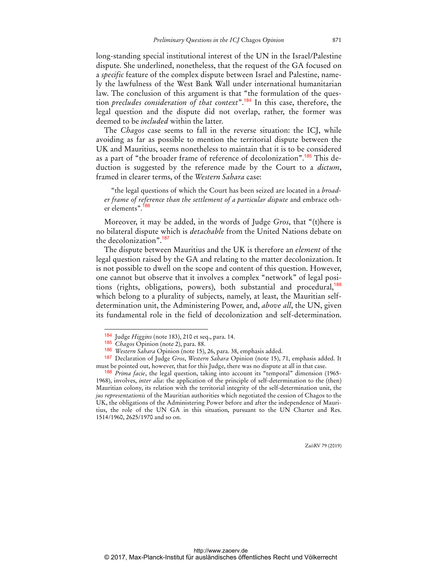long-standing special institutional interest of the UN in the Israel/Palestine dispute. She underlined, nonetheless, that the request of the GA focused on a *specific* feature of the complex dispute between Israel and Palestine, namely the lawfulness of the West Bank Wall under international humanitarian law. The conclusion of this argument is that "the formulation of the question *precludes consideration of that context*".<sup>184</sup> In this case, therefore, the legal question and the dispute did not overlap, rather, the former was deemed to be *included* within the latter.

The *Chagos* case seems to fall in the reverse situation: the ICJ, while avoiding as far as possible to mention the territorial dispute between the UK and Mauritius, seems nonetheless to maintain that it is to be considered as a part of "the broader frame of reference of decolonization".<sup>185</sup> This deduction is suggested by the reference made by the Court to a *dictum*, framed in clearer terms, of the *Western Sahara* case:

"the legal questions of which the Court has been seized are located in a *broader frame of reference than the settlement of a particular dispute* and embrace other elements".<sup>186</sup>

Moreover, it may be added, in the words of Judge *Gros*, that "(t)here is no bilateral dispute which is *detachable* from the United Nations debate on the decolonization".<sup>187</sup>

The dispute between Mauritius and the UK is therefore an *element* of the legal question raised by the GA and relating to the matter decolonization. It is not possible to dwell on the scope and content of this question. However, one cannot but observe that it involves a complex "network" of legal positions (rights, obligations, powers), both substantial and procedural,<sup>188</sup> which belong to a plurality of subjects, namely, at least, the Mauritian selfdetermination unit, the Administering Power, and, *above all*, the UN, given its fundamental role in the field of decolonization and self-determination.

 $\overline{a}$ 

<sup>184</sup> Judge *Higgins* (note 183), 210 et seq., para. 14.

<sup>185</sup> *Chagos* Opinion (note 2), para. 88.

<sup>186</sup> *Western Sahara* Opinion (note 15), 26, para. 38, emphasis added.

<sup>187</sup> Declaration of Judge *Gros*, *Western Sahara* Opinion (note 15), 71, emphasis added. It must be pointed out, however, that for this Judge, there was no dispute at all in that case.

<sup>188</sup> *Prima facie*, the legal question, taking into account its "temporal" dimension (1965- 1968), involves, *inter alia*: the application of the principle of self-determination to the (then) Mauritian colony, its relation with the territorial integrity of the self-determination unit, the *jus representationis* of the Mauritian authorities which negotiated the cession of Chagos to the UK, the obligations of the Administering Power before and after the independence of Mauritius, the role of the UN GA in this situation, pursuant to the UN Charter and Res. 1514/1960, 2625/1970 and so on.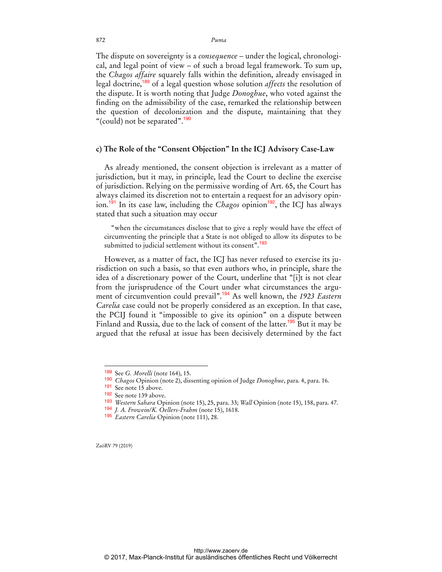The dispute on sovereignty is a *consequence* – under the logical, chronological, and legal point of view – of such a broad legal framework. To sum up, the *Chagos affaire* squarely falls within the definition, already envisaged in legal doctrine,<sup>189</sup> of a legal question whose solution *affects* the resolution of the dispute. It is worth noting that Judge *Donoghue*, who voted against the finding on the admissibility of the case, remarked the relationship between the question of decolonization and the dispute, maintaining that they "(could) not be separated".<sup>190</sup>

#### **c) The Role of the "Consent Objection" In the ICJ Advisory Case-Law**

As already mentioned, the consent objection is irrelevant as a matter of jurisdiction, but it may, in principle, lead the Court to decline the exercise of jurisdiction. Relying on the permissive wording of Art. 65, the Court has always claimed its discretion not to entertain a request for an advisory opinion.<sup>191</sup> In its case law, including the *Chagos* opinion<sup>192</sup>, the ICJ has always stated that such a situation may occur

"when the circumstances disclose that to give a reply would have the effect of circumventing the principle that a State is not obliged to allow its disputes to be submitted to judicial settlement without its consent".<sup>193</sup>

However, as a matter of fact, the ICJ has never refused to exercise its jurisdiction on such a basis, so that even authors who, in principle, share the idea of a discretionary power of the Court, underline that "[i]t is not clear from the jurisprudence of the Court under what circumstances the argument of circumvention could prevail".<sup>194</sup> As well known, the *1923 Eastern Carelia* case could not be properly considered as an exception. In that case, the PCIJ found it "impossible to give its opinion" on a dispute between Finland and Russia, due to the lack of consent of the latter.<sup>195</sup> But it may be argued that the refusal at issue has been decisively determined by the fact

ZaöRV 79 (2019)

<sup>189</sup> See *G. Morelli* (note 164), 15.

<sup>190</sup> *Chagos* Opinion (note 2), dissenting opinion of Judge *Donoghue*, para. 4, para. 16.

<sup>191</sup> See note 15 above.

<sup>192</sup> See note 139 above.

<sup>193</sup> *Western Sahara* Opinion (note 15), 25, para. 33; *Wall* Opinion (note 15), 158, para. 47.

<sup>194</sup> *J. A. Frowein/K. Oellers-Frahm* (note 15), 1618.

<sup>195</sup> *Eastern Carelia* Opinion (note 111), 28.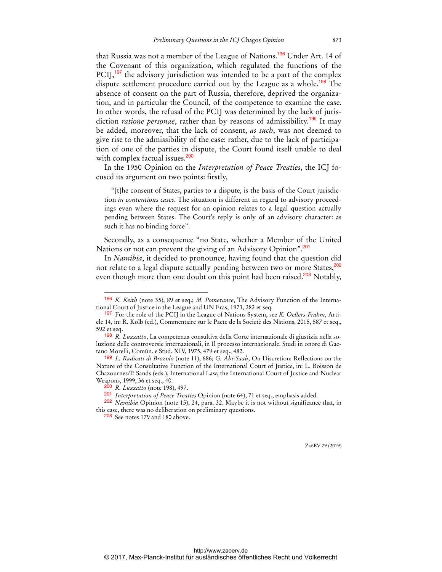that Russia was not a member of the League of Nations.<sup>196</sup> Under Art. 14 of the Covenant of this organization, which regulated the functions of the PCIJ,<sup>197</sup> the advisory jurisdiction was intended to be a part of the complex dispute settlement procedure carried out by the League as a whole.<sup>198</sup> The absence of consent on the part of Russia, therefore, deprived the organization, and in particular the Council, of the competence to examine the case. In other words, the refusal of the PCIJ was determined by the lack of jurisdiction *ratione personae*, rather than by reasons of admissibility.<sup>199</sup> It may be added, moreover, that the lack of consent, *as such*, was not deemed to give rise to the admissibility of the case: rather, due to the lack of participation of one of the parties in dispute, the Court found itself unable to deal with complex factual issues.<sup>200</sup>

In the 1950 Opinion on the *Interpretation of Peace Treaties*, the ICJ focused its argument on two points: firstly,

"[t]he consent of States, parties to a dispute, is the basis of the Court jurisdiction *in contentious cases*. The situation is different in regard to advisory proceedings even where the request for an opinion relates to a legal question actually pending between States. The Court's reply is only of an advisory character: as such it has no binding force".

Secondly, as a consequence "no State, whether a Member of the United Nations or not can prevent the giving of an Advisory Opinion".<sup>201</sup>

In *Namibia*, it decided to pronounce, having found that the question did not relate to a legal dispute actually pending between two or more States,<sup>202</sup> even though more than one doubt on this point had been raised.<sup>203</sup> Notably,

 $\overline{a}$ 

<sup>196</sup> *K. Keith* (note 35), 89 et seq.; *M. Pomerance*, The Advisory Function of the International Court of Justice in the League and UN Eras, 1973, 282 et seq.

<sup>197</sup> For the role of the PCIJ in the League of Nations System, see *K. Oellers-Frahm*, Article 14, in: R. Kolb (ed.), Commentaire sur le Pacte de la Societè des Nations, 2015, 587 et seq., 592 et seq.

<sup>198</sup> *R. Luzzatto*, La competenza consultiva della Corte internazionale di giustizia nella soluzione delle controversie internazionali, in Il processo internazionale. Studi in onore di Gaetano Morelli, Común. e Stud. XIV, 1975, 479 et seq., 482.

<sup>199</sup> *L. Radicati di Brozolo* (note 11), 686; *G. Abi-Saab*, On Discretion: Reflections on the Nature of the Consultative Function of the International Court of Justice, in: L. Boisson de Chazournes/P. Sands (eds.), International Law, the International Court of Justice and Nuclear Weapons, 1999, 36 et seq., 40.

<sup>200</sup> *R. Luzzatto* (note 198), 497.

<sup>201</sup> *Interpretation of Peace Treaties* Opinion (note 64), 71 et seq., emphasis added.

<sup>202</sup> *Namibia* Opinion (note 15), 24, para. 32. Maybe it is not without significance that, in this case, there was no deliberation on preliminary questions.

<sup>203</sup> See notes 179 and 180 above.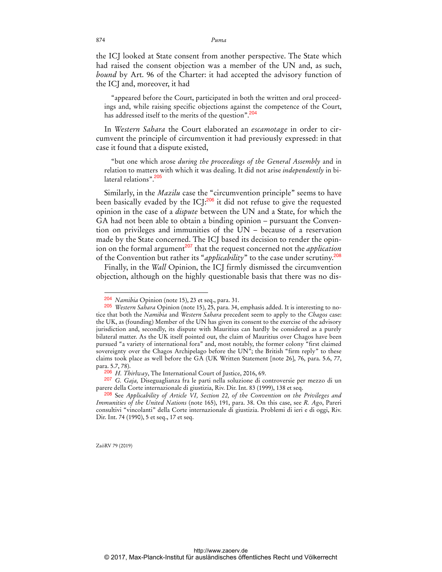the ICJ looked at State consent from another perspective. The State which had raised the consent objection was a member of the UN and, as such, *bound* by Art. 96 of the Charter: it had accepted the advisory function of the ICJ and, moreover, it had

"appeared before the Court, participated in both the written and oral proceedings and, while raising specific objections against the competence of the Court, has addressed itself to the merits of the question".<sup>204</sup>

In *Western Sahara* the Court elaborated an *escamotage* in order to circumvent the principle of circumvention it had previously expressed: in that case it found that a dispute existed,

"but one which arose *during the proceedings of the General Assembly* and in relation to matters with which it was dealing. It did not arise *independently* in bilateral relations".<sup>205</sup>

Similarly, in the *Mazilu* case the "circumvention principle" seems to have been basically evaded by the ICJ:<sup>206</sup> it did not refuse to give the requested opinion in the case of a *dispute* between the UN and a State, for which the GA had not been able to obtain a binding opinion – pursuant the Convention on privileges and immunities of the UN – because of a reservation made by the State concerned. The ICJ based its decision to render the opinion on the formal argument<sup>207</sup> that the request concerned not the *application* of the Convention but rather its "*applicability*" to the case under scrutiny.<sup>208</sup>

Finally, in the *Wall* Opinion, the ICJ firmly dismissed the circumvention objection, although on the highly questionable basis that there was no dis-

ZaöRV 79 (2019)

<sup>204</sup> *Namibia* Opinion (note 15), 23 et seq., para. 31.

<sup>205</sup> *Western Sahara* Opinion (note 15), 25, para. 34, emphasis added. It is interesting to notice that both the *Namibia* and *Western Sahara* precedent seem to apply to the *Chagos* case: the UK, as (founding) Member of the UN has given its consent to the exercise of the advisory jurisdiction and, secondly, its dispute with Mauritius can hardly be considered as a purely bilateral matter. As the UK itself pointed out, the claim of Mauritius over Chagos have been pursued "a variety of international fora" and, most notably, the former colony "first claimed sovereignty over the Chagos Archipelago before the UN"; the British "firm reply" to these claims took place as well before the GA (UK Written Statement [note 26], 76, para. 5.6, 77, para. 5.7, 78).

<sup>206</sup> *H. Thirlway*, The International Court of Justice, 2016, 69.

<sup>207</sup> *G. Gaja,* Diseguaglianza fra le parti nella soluzione di controversie per mezzo di un parere della Corte internazionale di giustizia, Riv. Dir. Int. 83 (1999), 138 et seq.

<sup>208</sup> See *Applicability of Article VI, Section 22, of the Convention on the Privileges and Immunities of the United Nations* (note 165), 191, para. 38. On this case, see *R. Ago*, Pareri consultivi "vincolanti" della Corte internazionale di giustizia. Problemi di ieri e di oggi, Riv. Dir. Int. 74 (1990), 5 et seq., 17 et seq.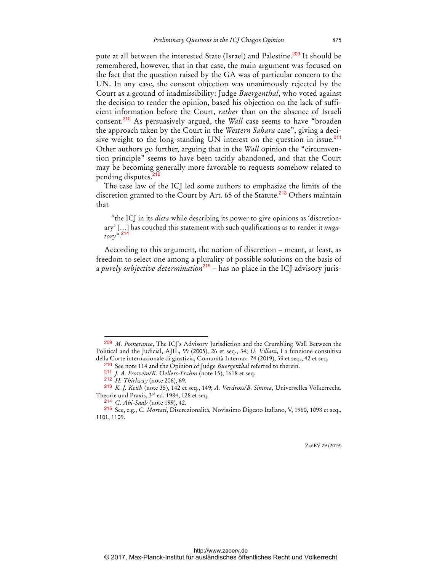pute at all between the interested State (Israel) and Palestine.<sup>209</sup> It should be remembered, however, that in that case, the main argument was focused on the fact that the question raised by the GA was of particular concern to the UN. In any case, the consent objection was unanimously rejected by the Court as a ground of inadmissibility: Judge *Buergenthal*, who voted against the decision to render the opinion, based his objection on the lack of sufficient information before the Court, *rather* than on the absence of Israeli consent.<sup>210</sup> As persuasively argued, the *Wall* case seems to have "broaden the approach taken by the Court in the *Western Sahara* case", giving a decisive weight to the long-standing UN interest on the question in issue. $211$ Other authors go further, arguing that in the *Wall* opinion the "circumvention principle" seems to have been tacitly abandoned, and that the Court may be becoming generally more favorable to requests somehow related to pending disputes.<sup>2</sup>

The case law of the ICJ led some authors to emphasize the limits of the discretion granted to the Court by Art. 65 of the Statute.<sup>213</sup> Others maintain that

"the ICJ in its *dicta* while describing its power to give opinions as 'discretionary' […] has couched this statement with such qualifications as to render it *nuga* $t$ ory<sup>"</sup>.<sup>21</sup>

According to this argument, the notion of discretion – meant, at least, as freedom to select one among a plurality of possible solutions on the basis of a *purely subjective determination*<sup>215</sup> – has no place in the ICJ advisory juris-

 $\overline{a}$ 

<sup>209</sup> *M. Pomerance*, The ICJ's Advisory Jurisdiction and the Crumbling Wall Between the Political and the Judicial, AJIL, 99 (2005), 26 et seq., 34; *U. Villani*, La funzione consultiva della Corte internazionale di giustizia, Comunità Internaz. 74 (2019), 39 et seq., 42 et seq.

<sup>210</sup> See note 114 and the Opinion of Judge *Buergenthal* referred to therein.

<sup>211</sup> *J. A. Frowein/K. Oellers-Frahm* (note 15), 1618 et seq.

<sup>212</sup> *H. Thirlway* (note 206), 69.

<sup>213</sup> *K. J. Keith* (note 35), 142 et seq., 149; *A. Verdross/B. Simma*, Universelles Völkerrecht. Theorie und Praxis, 3rd ed. 1984, 128 et seq.

<sup>214</sup> *G. Abi-Saab* (note 199), 42.

<sup>215</sup> See, e.g., *C. Mortati*, Discrezionalità, Novissimo Digesto Italiano, V, 1960, 1098 et seq., 1101, 1109.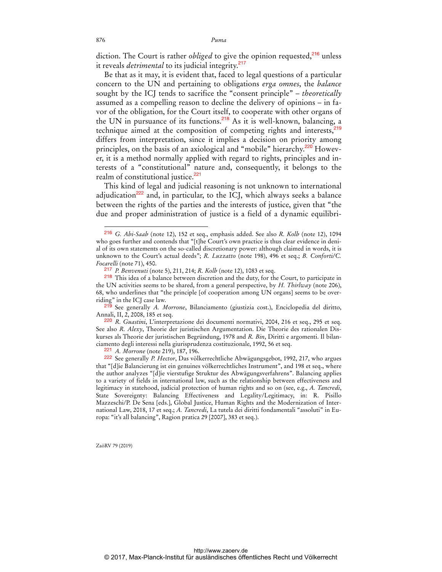diction. The Court is rather *obliged* to give the opinion requested,<sup>216</sup> unless it reveals *detrimental* to its judicial integrity.<sup>217</sup>

Be that as it may, it is evident that, faced to legal questions of a particular concern to the UN and pertaining to obligations *erga omnes*, the *balance* sought by the ICJ tends to sacrifice the "consent principle" – *theoretically* assumed as a compelling reason to decline the delivery of opinions – in favor of the obligation, for the Court itself, to cooperate with other organs of the UN in pursuance of its functions.<sup>218</sup> As it is well-known, balancing, a technique aimed at the composition of competing rights and interests, $2^{19}$ differs from interpretation, since it implies a decision on priority among principles, on the basis of an axiological and "mobile" hierarchy.<sup>220</sup> However, it is a method normally applied with regard to rights, principles and interests of a "constitutional" nature and, consequently, it belongs to the realm of constitutional justice.<sup>221</sup>

This kind of legal and judicial reasoning is not unknown to international adjudication $^{222}$  and, in particular, to the ICJ, which always seeks a balance between the rights of the parties and the interests of justice, given that "the due and proper administration of justice is a field of a dynamic equilibri-

221 *A. Morrone* (note 219), 187, 196.

ZaöRV 79 (2019)

<sup>216</sup> *G. Abi-Saab* (note 12), 152 et seq., emphasis added. See also *R. Kolb* (note 12), 1094 who goes further and contends that "[t]he Court's own practice is thus clear evidence in denial of its own statements on the so-called discretionary power: although claimed in words, it is unknown to the Court's actual deeds"; *R. Luzzatto* (note 198), 496 et seq.; *B. Conforti/C. Focarelli* (note 71), 450.

<sup>217</sup> *P. Benvenuti* (note 5), 211, 214; *R. Kolb* (note 12), 1083 et seq.

<sup>218</sup> This idea of a balance between discretion and the duty, for the Court, to participate in the UN activities seems to be shared, from a general perspective, by *H. Thirlway* (note 206), 68, who underlines that "the principle [of cooperation among UN organs] seems to be overriding" in the ICJ case law.

<sup>219</sup> See generally *A. Morrone*, Bilanciamento (giustizia cost.), Enciclopedia del diritto, Annali, II, 2, 2008, 185 et seq.

<sup>220</sup> *R. Guastini*, L'interpretazione dei documenti normativi, 2004, 216 et seq., 295 et seq. See also *R. Alexy*, Theorie der juristischen Argumentation. Die Theorie des rationalen Diskurses als Theorie der juristischen Begründung, 1978 and *R. Bin*, Diritti e argomenti. Il bilanciamento degli interessi nella giurisprudenza costituzionale, 1992, 56 et seq.

<sup>222</sup> See generally *P. Hector*, Das völkerrechtliche Abwägungsgebot, 1992, 217, who argues that "[d]ie Balancierung ist ein genuines völkerrechtliches Instrument", and 198 et seq., where the author analyzes "[d]ie vierstufige Struktur des Abwägungsverfahrens". Balancing applies to a variety of fields in international law, such as the relationship between effectiveness and legitimacy in statehood, judicial protection of human rights and so on (see, e.g., *A. Tancredi*, State Sovereignty: Balancing Effectiveness and Legality/Legitimacy, in: R. Pisillo Mazzeschi/P. De Sena [eds.], Global Justice, Human Rights and the Modernization of International Law, 2018, 17 et seq.; *A. Tancredi*, La tutela dei diritti fondamentali "assoluti" in Europa: "it's all balancing", Ragion pratica 29 [2007], 383 et seq.).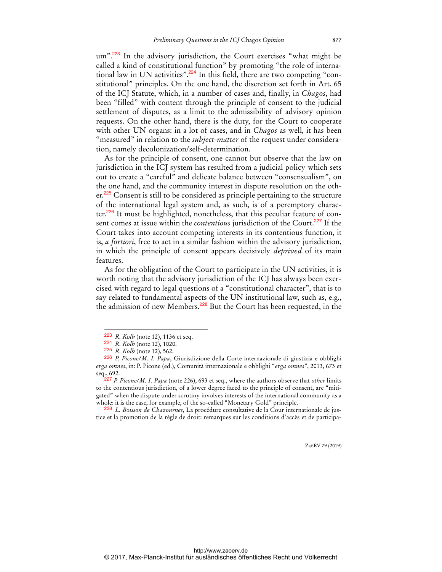um".<sup>223</sup> In the advisory jurisdiction, the Court exercises "what might be called a kind of constitutional function" by promoting "the role of international law in UN activities".224 In this field, there are two competing "constitutional" principles. On the one hand, the discretion set forth in Art. 65 of the ICJ Statute, which, in a number of cases and, finally, in *Chagos*, had been "filled" with content through the principle of consent to the judicial settlement of disputes, as a limit to the admissibility of advisory opinion requests. On the other hand, there is the duty, for the Court to cooperate with other UN organs: in a lot of cases, and in *Chagos* as well, it has been "measured" in relation to the *subject-matter* of the request under consideration, namely decolonization/self-determination.

As for the principle of consent, one cannot but observe that the law on jurisdiction in the ICJ system has resulted from a judicial policy which sets out to create a "careful" and delicate balance between "consensualism", on the one hand, and the community interest in dispute resolution on the other.<sup>225</sup> Consent is still to be considered as principle pertaining to the structure of the international legal system and, as such, is of a peremptory character.<sup>226</sup> It must be highlighted, nonetheless, that this peculiar feature of consent comes at issue within the *contentious* jurisdiction of the Court.<sup>227</sup> If the Court takes into account competing interests in its contentious function, it is, *a fortiori*, free to act in a similar fashion within the advisory jurisdiction, in which the principle of consent appears decisively *deprived* of its main features.

As for the obligation of the Court to participate in the UN activities, it is worth noting that the advisory jurisdiction of the ICJ has always been exercised with regard to legal questions of a "constitutional character", that is to say related to fundamental aspects of the UN institutional law, such as, e.g., the admission of new Members.<sup>228</sup> But the Court has been requested, in the

 $\overline{a}$ 

<sup>223</sup> *R. Kolb* (note 12), 1136 et seq.

<sup>224</sup> *R. Kolb* (note 12), 1020.

<sup>225</sup> *R. Kolb* (note 12), 562.

<sup>226</sup> *P. Picone/M. I. Papa*, Giurisdizione della Corte internazionale di giustizia e obblighi *erga omnes*, in: P. Picone (ed.), Comunità internazionale e obblighi "*erga omnes*", 2013, 673 et seq., 692.

<sup>227</sup> *P. Picone/M. I. Papa* (note 226), 693 et seq., where the authors observe that *other* limits to the contentious jurisdiction, of a lower degree faced to the principle of consent, are "mitigated" when the dispute under scrutiny involves interests of the international community as a whole: it is the case, for example, of the so-called "Monetary Gold" principle.

<sup>228</sup> *L. Boisson de Chazournes*, La procédure consultative de la Cour internationale de justice et la promotion de la règle de droit: remarques sur les conditions d'accès et de participa-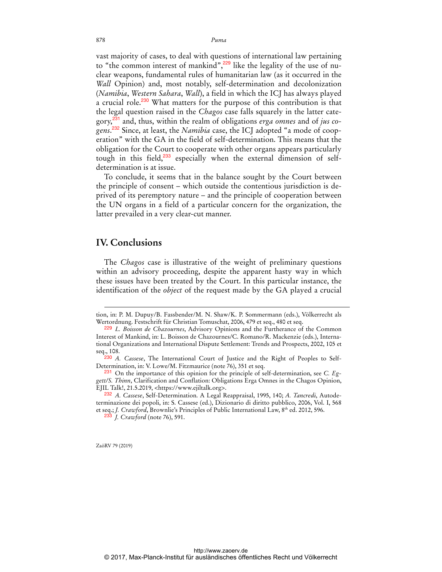vast majority of cases, to deal with questions of international law pertaining to "the common interest of mankind",<sup>229</sup> like the legality of the use of nuclear weapons, fundamental rules of humanitarian law (as it occurred in the *Wall* Opinion) and, most notably, self-determination and decolonization (*Namibia*, *Western Sahara*, *Wall*), a field in which the ICJ has always played a crucial role.<sup>230</sup> What matters for the purpose of this contribution is that the legal question raised in the *Chagos* case falls squarely in the latter category,231 and, thus, within the realm of obligations *erga omnes* and of *jus cogens*. 232 Since, at least, the *Namibia* case, the ICJ adopted "a mode of cooperation" with the GA in the field of self-determination. This means that the obligation for the Court to cooperate with other organs appears particularly tough in this field,<sup>233</sup> especially when the external dimension of selfdetermination is at issue.

To conclude, it seems that in the balance sought by the Court between the principle of consent – which outside the contentious jurisdiction is deprived of its peremptory nature – and the principle of cooperation between the UN organs in a field of a particular concern for the organization, the latter prevailed in a very clear-cut manner.

### **IV. Conclusions**

The *Chagos* case is illustrative of the weight of preliminary questions within an advisory proceeding, despite the apparent hasty way in which these issues have been treated by the Court. In this particular instance, the identification of the *object* of the request made by the GA played a crucial

233 *J. Crawford* (note 76), 591.

ZaöRV 79 (2019)

tion, in: P. M. Dupuy/B. Fassbender/M. N. Shaw/K. P. Sommermann (eds.), Völkerrecht als Wertordnung. Festschrift für Christian Tomuschat, 2006, 479 et seq., 480 et seq.

<sup>229</sup> *L. Boisson de Chazournes*, Advisory Opinions and the Furtherance of the Common Interest of Mankind, in: L. Boisson de Chazournes/C. Romano/R. Mackenzie (eds.), International Organizations and International Dispute Settlement: Trends and Prospects, 2002, 105 et seq., 108.

<sup>230</sup> *A. Cassese*, The International Court of Justice and the Right of Peoples to Self-Determination, in: V. Lowe/M. Fitzmaurice (note 76), 351 et seq.

<sup>231</sup> On the importance of this opinion for the principle of self-determination, see *C. Eggett/S. Thinn*, Clarification and Conflation: Obligations Erga Omnes in the Chagos Opinion, EJIL Talk!, 21.5.2019, <https://www.ejiltalk.org>.

<sup>232</sup> *A. Cassese*, Self-Determination. A Legal Reappraisal, 1995, 140; *A. Tancredi*, Autodeterminazione dei popoli, in: S. Cassese (ed.), Dizionario di diritto pubblico, 2006, Vol. I, 568 et seq.; *J. Crawford*, Brownlie's Principles of Public International Law, 8<sup>th</sup> ed. 2012, 596.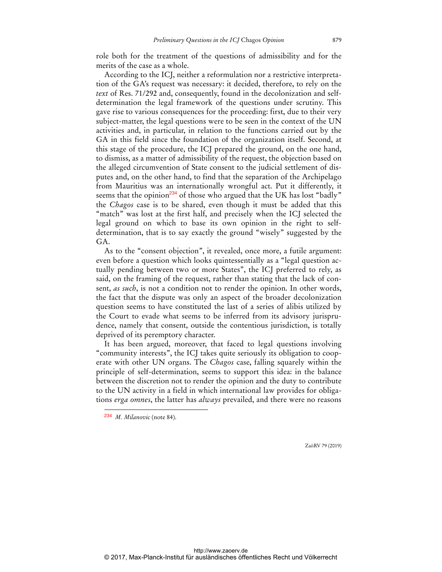role both for the treatment of the questions of admissibility and for the merits of the case as a whole.

According to the ICJ, neither a reformulation nor a restrictive interpretation of the GA's request was necessary: it decided, therefore, to rely on the *text* of Res. 71/292 and, consequently, found in the decolonization and selfdetermination the legal framework of the questions under scrutiny. This gave rise to various consequences for the proceeding: first, due to their very subject-matter, the legal questions were to be seen in the context of the UN activities and, in particular, in relation to the functions carried out by the GA in this field since the foundation of the organization itself. Second, at this stage of the procedure, the ICJ prepared the ground, on the one hand, to dismiss, as a matter of admissibility of the request, the objection based on the alleged circumvention of State consent to the judicial settlement of disputes and, on the other hand, to find that the separation of the Archipelago from Mauritius was an internationally wrongful act. Put it differently, it seems that the opinion<sup>234</sup> of those who argued that the UK has lost "badly" the *Chagos* case is to be shared, even though it must be added that this "match" was lost at the first half, and precisely when the ICJ selected the legal ground on which to base its own opinion in the right to selfdetermination, that is to say exactly the ground "wisely" suggested by the GA.

As to the "consent objection", it revealed, once more, a futile argument: even before a question which looks quintessentially as a "legal question actually pending between two or more States", the ICJ preferred to rely, as said, on the framing of the request, rather than stating that the lack of consent, *as such*, is not a condition not to render the opinion. In other words, the fact that the dispute was only an aspect of the broader decolonization question seems to have constituted the last of a series of alibis utilized by the Court to evade what seems to be inferred from its advisory jurisprudence, namely that consent, outside the contentious jurisdiction, is totally deprived of its peremptory character.

It has been argued, moreover, that faced to legal questions involving "community interests", the ICJ takes quite seriously its obligation to cooperate with other UN organs. The *Chagos* case, falling squarely within the principle of self-determination, seems to support this idea: in the balance between the discretion not to render the opinion and the duty to contribute to the UN activity in a field in which international law provides for obligations *erga omnes*, the latter has *always* prevailed, and there were no reasons

 $\overline{a}$ 

<sup>234</sup> *M. Milanovic* (note 84).